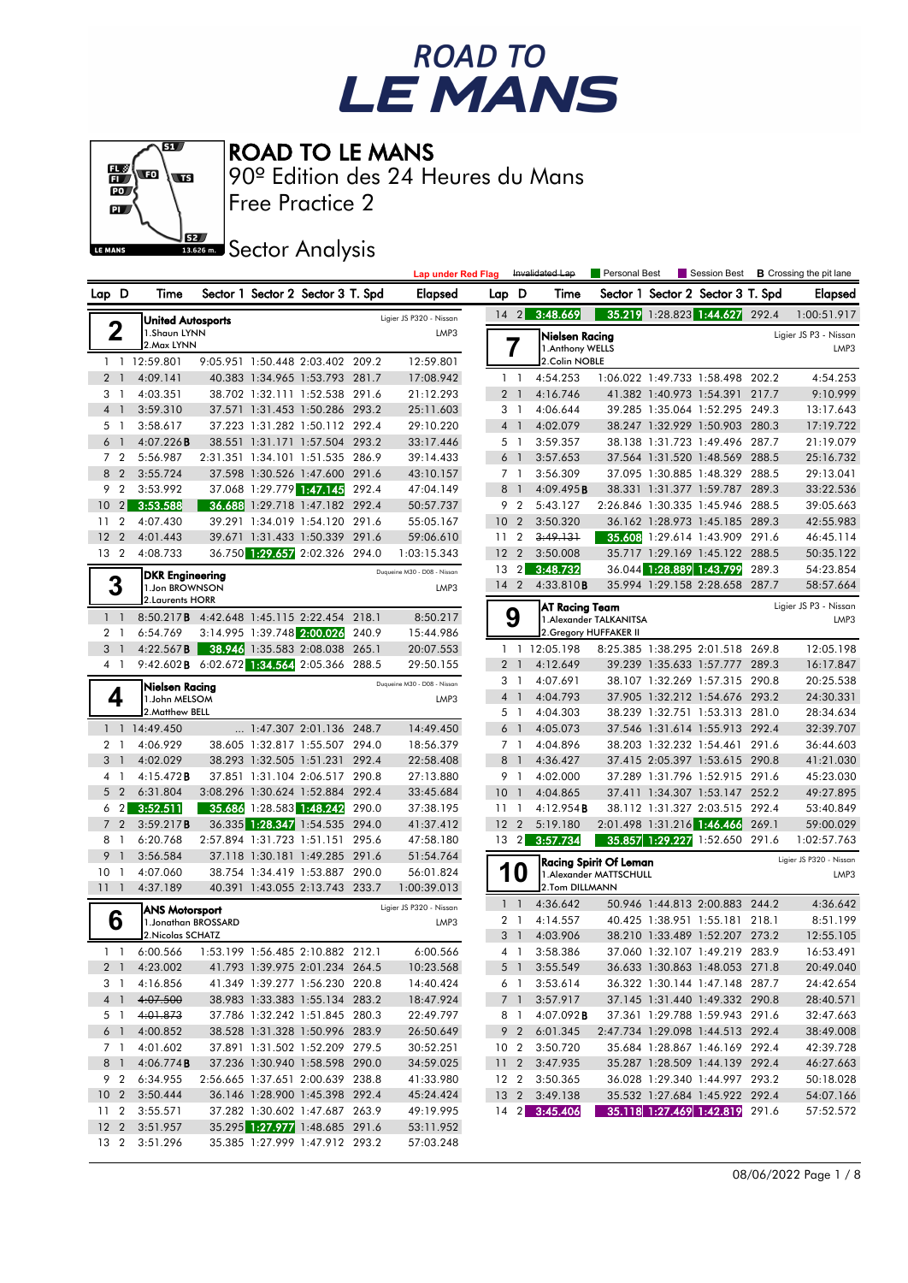



Free Practice 2 90º Edition des 24 Heures du Mans

**SECTOR Analysis** 

|                                        |                                                    |  |                                                                  |       | Lap under Red Flag          |                    |                                  | Invalidated Lap                    | Personal Best                 |                          | Session Best                                                     |       | <b>B</b> Crossing the pit lane |
|----------------------------------------|----------------------------------------------------|--|------------------------------------------------------------------|-------|-----------------------------|--------------------|----------------------------------|------------------------------------|-------------------------------|--------------------------|------------------------------------------------------------------|-------|--------------------------------|
| Lap D                                  | Time                                               |  | Sector 1 Sector 2 Sector 3 T. Spd                                |       | <b>Elapsed</b>              | Lap                | - D                              | Time                               |                               |                          | Sector 1 Sector 2 Sector 3 T. Spd                                |       | <b>Elapsed</b>                 |
|                                        | United Autosports                                  |  |                                                                  |       | Ligier JS P320 - Nissan     | $14 \quad 2$       |                                  | 3:48.669                           |                               |                          | 35.219 1:28.823 1:44.627                                         | 292.4 | 1:00:51.917                    |
| 2                                      | 1.Shaun LYNN<br>2. Max LYNN                        |  |                                                                  |       | LMP3                        |                    | 7                                | Nielsen Racing<br>1. Anthony WELLS |                               |                          | Ligier JS P3 - Nissan<br>LMP3                                    |       |                                |
|                                        | 1 1 12:59.801                                      |  | 9:05.951 1:50.448 2:03.402 209.2                                 |       | 12:59.801                   |                    |                                  | 2.Colin NOBLE                      |                               |                          |                                                                  |       |                                |
| 2 <sub>1</sub>                         | 4:09.141                                           |  | 40.383 1:34.965 1:53.793 281.7                                   |       | 17:08.942                   |                    | 1 <sup>1</sup>                   | 4:54.253                           |                               |                          | 1:06.022 1:49.733 1:58.498 202.2                                 |       | 4:54.253                       |
| 31                                     | 4:03.351                                           |  | 38.702 1:32.111 1:52.538 291.6                                   |       | 21:12.293                   |                    | 2 <sub>1</sub>                   | 4:16.746                           |                               |                          | 41.382 1:40.973 1:54.391 217.7                                   |       | 9:10.999                       |
| 4 <sup>1</sup>                         | 3:59.310                                           |  | 37.571 1:31.453 1:50.286 293.2                                   |       | 25:11.603                   |                    | 3 1                              | 4:06.644                           |                               |                          | 39.285 1:35.064 1:52.295 249.3                                   |       | 13:17.643                      |
| 5 1                                    | 3:58.617                                           |  | 37.223 1:31.282 1:50.112 292.4                                   |       | 29:10.220                   |                    | 4 <sup>1</sup>                   | 4:02.079                           |                               |                          | 38.247 1:32.929 1:50.903 280.3                                   |       | 17:19.722                      |
| 6<br>$\mathbf{1}$                      | 4:07.226B                                          |  | 38.551 1:31.171 1:57.504 293.2                                   |       | 33:17.446                   |                    | 5 1                              | 3:59.357                           |                               |                          | 38.138 1:31.723 1:49.496 287.7                                   |       | 21:19.079                      |
| 7 <sub>2</sub>                         | 5:56.987                                           |  | 2:31.351 1:34.101 1:51.535 286.9                                 |       | 39:14.433                   |                    | 6 <sup>1</sup>                   | 3:57.653                           |                               |                          | 37.564 1:31.520 1:48.569 288.5                                   |       | 25:16.732                      |
| 8 2                                    | 3:55.724                                           |  | 37.598 1:30.526 1:47.600 291.6                                   |       | 43:10.157                   |                    | 7 <sub>1</sub>                   | 3:56.309                           |                               |                          | 37.095 1:30.885 1:48.329 288.5                                   |       | 29:13.041                      |
| $\overline{2}$<br>9                    | 3:53.992                                           |  | 37.068 1:29.779 1:47.145                                         | 292.4 | 47:04.149                   |                    | 8 <sup>1</sup>                   | 4:09.495B                          |                               |                          | 38.331 1:31.377 1:59.787 289.3                                   |       | 33:22.536                      |
| $\overline{2}$<br>10 <sup>°</sup>      | 3:53.588                                           |  | 36.688 1:29.718 1:47.182 292.4                                   |       | 50:57.737                   |                    | 9 2                              | 5:43.127                           |                               |                          | 2:26.846 1:30.335 1:45.946 288.5                                 |       | 39:05.663                      |
| $\overline{2}$<br>11<br>$\overline{2}$ | 4:07.430                                           |  | 39.291 1:34.019 1:54.120 291.6                                   |       | 55:05.167                   | 10                 | $\overline{2}$                   | 3:50.320                           |                               |                          | 36.162 1:28.973 1:45.185 289.3                                   |       | 42:55.983                      |
| 12<br>13 2                             | 4:01.443                                           |  | 39.671 1:31.433 1:50.339 291.6                                   |       | 59:06.610                   | 11<br>12           | $\overline{2}$<br>$\overline{2}$ | 3:49.131<br>3:50.008               |                               |                          | 35.608 1:29.614 1:43.909 291.6<br>35.717 1:29.169 1:45.122 288.5 |       | 46:45.114<br>50:35.122         |
|                                        | 4:08.733                                           |  | 36.750 1:29.657 2:02.326 294.0                                   |       | 1:03:15.343                 |                    |                                  | 3:48.732                           |                               |                          |                                                                  |       | 54:23.854                      |
|                                        | <b>DKR Engineering</b>                             |  |                                                                  |       | Duqueine M30 - D08 - Nissan | 13<br>$14 \quad 2$ | $\overline{2}$                   | 4:33.810B                          |                               | 36.044 1:28.889 1:43.799 | 35.994 1:29.158 2:28.658 287.7                                   | 289.3 | 58:57.664                      |
| 3                                      | 1.Jon BROWNSON<br>2. Laurents HORR                 |  |                                                                  |       | LMP3                        |                    |                                  |                                    |                               |                          |                                                                  |       |                                |
| $1\quad$                               | 8:50.217B 4:42.648 1:45.115 2:22.454 218.1         |  |                                                                  |       | 8:50.217                    |                    | 9                                | AT Racing Team                     | 1. Alexander TALKANITSA       |                          |                                                                  |       | Ligier JS P3 - Nissan          |
| 2 1                                    | 6:54.769                                           |  | 3:14.995 1:39.748 2:00.026                                       | 240.9 | 15:44.986                   |                    |                                  |                                    | 2. Gregory HUFFAKER II        |                          |                                                                  |       | LMP3                           |
| 3                                      | 4:22.567B                                          |  | 38.946 1:35.583 2:08.038 265.1                                   |       | 20:07.553                   |                    | $1\quad$                         | 12:05.198                          |                               |                          | 8:25.385 1:38.295 2:01.518 269.8                                 |       | 12:05.198                      |
| 4 1                                    | 9:42.602 <b>B</b> 6:02.672 1:34.564 2:05.366 288.5 |  |                                                                  |       | 29:50.155                   | $\overline{2}$     | $\overline{1}$                   | 4:12.649                           |                               |                          | 39.239 1:35.633 1:57.777                                         | 289.3 | 16:17.847                      |
|                                        |                                                    |  |                                                                  |       | Duaueine M30 - D08 - Nissan |                    | 3 1                              | 4:07.691                           |                               |                          | 38.107 1:32.269 1:57.315 290.8                                   |       | 20:25.538                      |
| 4                                      | Nielsen Racing<br>1.John MELSOM                    |  |                                                                  |       | LMP3                        |                    | 4 1                              | 4:04.793                           |                               |                          | 37.905 1:32.212 1:54.676 293.2                                   |       | 24:30.331                      |
|                                        | 2. Matthew BELL                                    |  |                                                                  |       |                             |                    | 5 1                              | 4:04.303                           |                               |                          | 38.239 1:32.751 1:53.313 281.0                                   |       | 28:34.634                      |
|                                        | 1 1 14:49.450                                      |  | 1:47.307 2:01.136 248.7                                          |       | 14:49.450                   |                    | 6 <sub>1</sub>                   | 4:05.073                           |                               |                          | 37.546 1:31.614 1:55.913 292.4                                   |       | 32:39.707                      |
| 2 <sub>1</sub>                         | 4:06.929                                           |  | 38.605 1:32.817 1:55.507 294.0                                   |       | 18:56.379                   |                    | 7 <sub>1</sub>                   | 4:04.896                           |                               | 38.203 1:32.232 1:54.461 |                                                                  | 291.6 | 36:44.603                      |
| 3<br>$\overline{1}$                    | 4:02.029                                           |  | 38.293 1:32.505 1:51.231 292.4                                   |       | 22:58.408                   | 8                  | $\overline{1}$                   | 4:36.427                           |                               |                          | 37.415 2:05.397 1:53.615 290.8                                   |       | 41:21.030                      |
| 41                                     | 4:15.472B                                          |  | 37.851 1:31.104 2:06.517 290.8                                   |       | 27:13.880                   |                    | 9 1                              | 4:02.000                           |                               |                          | 37.289 1:31.796 1:52.915 291.6                                   |       | 45:23.030                      |
| $\overline{2}$<br>5                    | 6:31.804                                           |  | 3:08.296 1:30.624 1:52.884 292.4                                 |       | 33:45.684                   | 10                 | $\overline{1}$                   | 4:04.865                           |                               |                          | 37.411 1:34.307 1:53.147                                         | 252.2 | 49:27.895                      |
| $\overline{2}$<br>6                    | 3:52.511                                           |  | 35.686 1:28.583 1:48.242                                         | 290.0 | 37:38.195                   | 11                 | -1                               | 4:12.954B                          |                               |                          | 38.112 1:31.327 2:03.515 292.4                                   |       | 53:40.849                      |
| 7 <sub>2</sub>                         | 3:59.217B                                          |  | 36.335 1:28.347 1:54.535 294.0                                   |       | 41:37.412                   | 12 <sub>2</sub>    |                                  | 5:19.180                           |                               |                          | 2:01.498 1:31.216 1:46.466 269.1                                 |       | 59:00.029                      |
| 8<br>$\overline{1}$                    | 6:20.768                                           |  | 2:57.894 1:31.723 1:51.151 295.6                                 |       | 47:58.180                   | $13 \quad 2$       |                                  | 3:57.734                           |                               |                          | 35.857 1:29.227 1:52.650 291.6                                   |       | 1:02:57.763                    |
| 9<br>$\overline{1}$                    | 3:56.584                                           |  | 37.118 1:30.181 1:49.285 291.6                                   |       | 51:54.764                   |                    |                                  |                                    | <b>Racing Spirit Of Leman</b> |                          |                                                                  |       | Ligier JS P320 - Nissan        |
| 10 <sub>1</sub>                        | 4:07.060                                           |  | 38.754 1:34.419 1:53.887 290.0                                   |       | 56:01.824                   |                    | 10                               |                                    | 1.Alexander MATTSCHULL        |                          |                                                                  |       | LMP3                           |
| 111                                    | 4:37.189                                           |  | 40.391 1:43.055 2:13.743 233.7                                   |       | 1:00:39.013                 |                    |                                  | 2.Tom DILLMANN                     |                               |                          |                                                                  |       |                                |
|                                        | <b>ANS Motorsport</b>                              |  |                                                                  |       | Ligier JS P320 - Nissan     | 1                  | $\overline{1}$                   | 4:36.642                           |                               |                          | 50.946 1:44.813 2:00.883 244.2                                   |       | 4:36.642                       |
| 6                                      | 1. Jonathan BROSSARD                               |  |                                                                  |       | LMP3                        | $\overline{2}$     | $\overline{1}$                   | 4:14.557                           |                               | 40.425 1:38.951 1:55.181 |                                                                  | 218.1 | 8:51.199                       |
|                                        | 2. Nicolas SCHATZ                                  |  |                                                                  |       |                             |                    | 3 <sup>1</sup>                   | 4:03.906                           |                               |                          | 38.210 1:33.489 1:52.207 273.2                                   |       | 12:55.105                      |
|                                        | 1 1 6:00.566                                       |  | 1:53.199 1:56.485 2:10.882 212.1                                 |       | 6:00.566                    |                    | 4 1                              | 3:58.386                           |                               |                          | 37.060 1:32.107 1:49.219 283.9                                   |       | 16:53.491                      |
|                                        | 2 1 4:23.002                                       |  | 41.793 1:39.975 2:01.234 264.5                                   |       | 10:23.568                   |                    | 5 1                              | 3:55.549                           |                               |                          | 36.633 1:30.863 1:48.053 271.8                                   |       | 20:49.040                      |
|                                        | 3 1 4:16.856<br>4 1 4:07.500                       |  | 41.349 1:39.277 1:56.230 220.8<br>38.983 1:33.383 1:55.134 283.2 |       | 14:40.424                   |                    | 6 1                              | 3:53.614                           |                               |                          | 36.322 1:30.144 1:47.148 287.7<br>37.145 1:31.440 1:49.332 290.8 |       | 24:42.654<br>28:40.571         |
|                                        | 5 1 4:01.873                                       |  | 37.786 1:32.242 1:51.845 280.3                                   |       | 18:47.924                   |                    | 7 1                              | 3:57.917                           |                               |                          | 37.361 1:29.788 1:59.943 291.6                                   |       |                                |
|                                        | 6 1 4:00.852                                       |  | 38.528 1:31.328 1:50.996 283.9                                   |       | 22:49.797                   |                    | 81                               | 4:07.092 <b>B</b><br>9 2 6:01.345  |                               |                          | 2:47.734 1:29.098 1:44.513 292.4                                 |       | 32:47.663<br>38:49.008         |
|                                        | 7 1 4:01.602                                       |  | 37.891 1:31.502 1:52.209 279.5                                   |       | 26:50.649<br>30:52.251      |                    | 10 <sub>2</sub>                  | 3:50.720                           |                               |                          | 35.684 1:28.867 1:46.169 292.4                                   |       | 42:39.728                      |
| 8 1                                    | 4:06.774B                                          |  | 37.236 1:30.940 1:58.598 290.0                                   |       | 34:59.025                   | 112                |                                  | 3:47.935                           |                               |                          | 35.287 1:28.509 1:44.139 292.4                                   |       | 46:27.663                      |
|                                        | 9 2 6:34.955                                       |  | 2:56.665 1:37.651 2:00.639 238.8                                 |       | 41:33.980                   |                    |                                  | 12 2 3:50.365                      |                               |                          | 36.028 1:29.340 1:44.997 293.2                                   |       | 50:18.028                      |
| 10 <sub>2</sub>                        | 3:50.444                                           |  | 36.146 1:28.900 1:45.398 292.4                                   |       | 45:24.424                   |                    |                                  | 13 2 3:49.138                      |                               |                          | 35.532 1:27.684 1:45.922 292.4                                   |       | 54:07.166                      |
| 11 <sub>2</sub>                        | 3:55.571                                           |  | 37.282 1:30.602 1:47.687 263.9                                   |       | 49:19.995                   |                    |                                  | 14 2 3:45.406                      |                               |                          | 35.118 1:27.469 1:42.819 291.6                                   |       | 57:52.572                      |
| 12 <sub>2</sub>                        | 3:51.957                                           |  | 35.295 1:27.977 1:48.685 291.6                                   |       | 53:11.952                   |                    |                                  |                                    |                               |                          |                                                                  |       |                                |
|                                        | 13 2 3:51.296                                      |  | 35.385 1:27.999 1:47.912 293.2                                   |       | 57:03.248                   |                    |                                  |                                    |                               |                          |                                                                  |       |                                |
|                                        |                                                    |  |                                                                  |       |                             |                    |                                  |                                    |                               |                          |                                                                  |       |                                |

08/06/2022 Page 1 / 8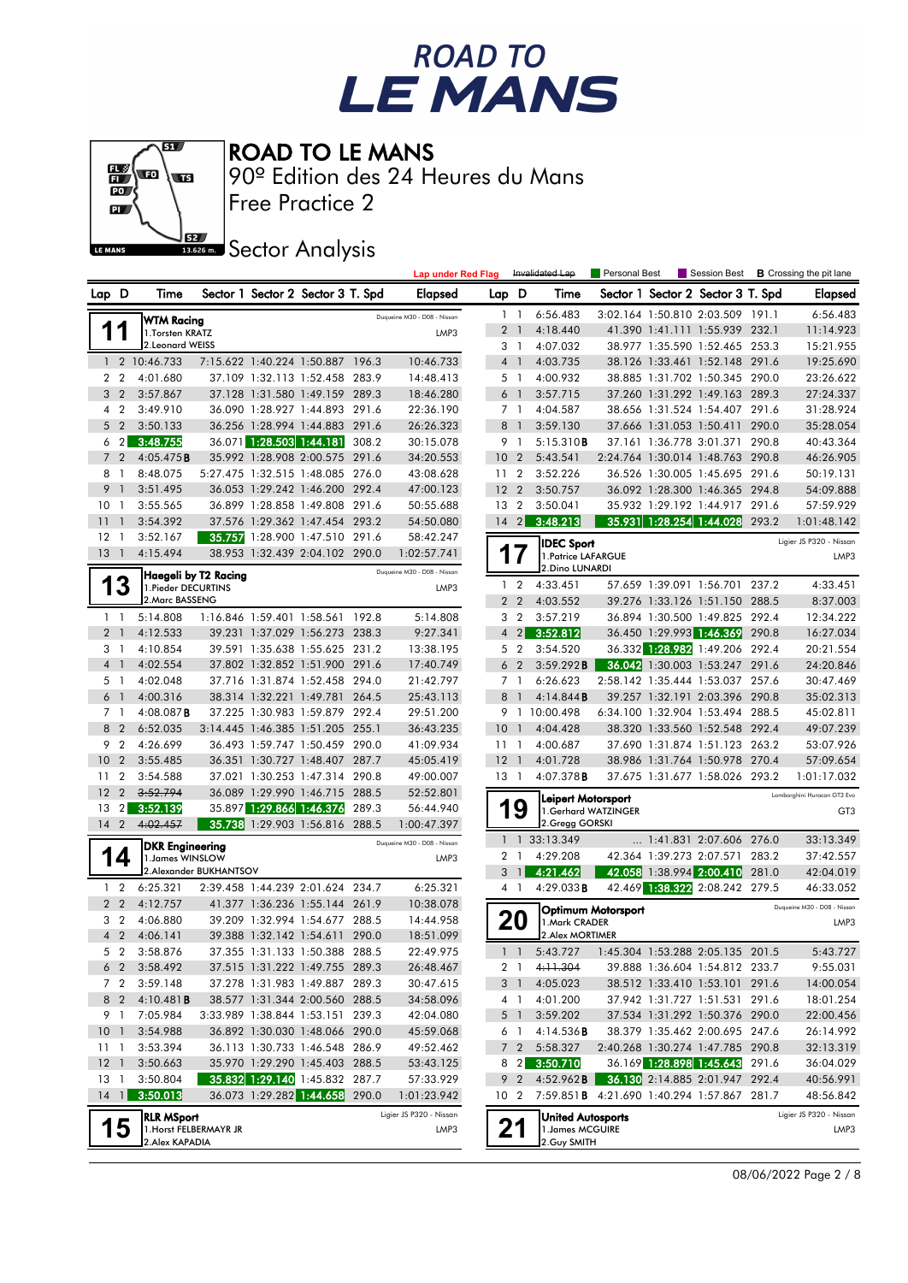



Free Practice 2 90º Edition des 24 Heures du Mans

**J**BEZ Sector Analysis

|                            |                |                        |                        |                                                                  |       | <b>Lap under Red Flag</b>   |                 |                                  | Invalidated Lap                                           | Personal Best             |                                                                  |       | Session Best <b>B</b> Crossing the pit lane |
|----------------------------|----------------|------------------------|------------------------|------------------------------------------------------------------|-------|-----------------------------|-----------------|----------------------------------|-----------------------------------------------------------|---------------------------|------------------------------------------------------------------|-------|---------------------------------------------|
| Lap D                      |                | Time                   |                        | Sector 1 Sector 2 Sector 3 T. Spd                                |       | <b>Elapsed</b>              | Lap D           |                                  | Time                                                      |                           | Sector 1 Sector 2 Sector 3 T. Spd                                |       | Elapsed                                     |
|                            |                | <b>WTM Racing</b>      |                        |                                                                  |       | Duqueine M30 - D08 - Nissan |                 | $1\quad$                         | 6:56.483                                                  |                           | 3:02.164 1:50.810 2:03.509 191.1                                 |       | 6:56.483                                    |
|                            | 1              | 1. Torsten KRATZ       |                        |                                                                  |       | LMP3                        |                 | 2 <sub>1</sub>                   | 4:18.440                                                  |                           | 41.390 1:41.111 1:55.939 232.1                                   |       | 11:14.923                                   |
|                            |                | 2. Leonard WEISS       |                        |                                                                  |       |                             |                 | 3 1                              | 4:07.032                                                  |                           | 38.977 1:35.590 1:52.465 253.3                                   |       | 15:21.955                                   |
|                            |                | 1 2 10:46.733          |                        | 7:15.622 1:40.224 1:50.887 196.3                                 |       | 10:46.733                   |                 | 4 1                              | 4:03.735                                                  |                           | 38.126 1:33.461 1:52.148 291.6                                   |       | 19:25.690                                   |
| 2 <sub>2</sub>             |                | 4:01.680               |                        | 37.109 1:32.113 1:52.458 283.9                                   |       | 14:48.413                   |                 | 5 <sub>1</sub>                   | 4:00.932                                                  |                           | 38.885 1:31.702 1:50.345 290.0                                   |       | 23:26.622                                   |
| 3 <sub>2</sub>             |                | 3:57.867               |                        | 37.128 1:31.580 1:49.159 289.3                                   |       | 18:46.280                   |                 | 6 <sup>1</sup>                   | 3:57.715                                                  |                           | 37.260 1:31.292 1:49.163 289.3                                   |       | 27:24.337                                   |
| 4 <sub>2</sub>             |                | 3:49.910               |                        | 36.090 1:28.927 1:44.893 291.6                                   |       | 22:36.190                   |                 | 7 <sub>1</sub>                   | 4:04.587                                                  |                           | 38.656 1:31.524 1:54.407 291.6                                   |       | 31:28.924                                   |
|                            | 5 <sub>2</sub> | 3:50.133               |                        | 36.256 1:28.994 1:44.883 291.6                                   |       | 26:26.323                   |                 | 8 1                              | 3:59.130                                                  |                           | 37.666 1:31.053 1:50.411 290.0                                   |       | 35:28.054                                   |
|                            | $6\quad2$      | 3:48.755               |                        | 36.071 1:28.503 1:44.181                                         | 308.2 | 30:15.078                   | 9               | $\overline{1}$                   | 5:15.310B                                                 |                           | 37.161 1:36.778 3:01.371 290.8                                   |       | 40:43.364                                   |
| 7 <sub>2</sub>             |                | 4:05.475B              |                        | 35.992 1:28.908 2:00.575 291.6                                   |       | 34:20.553                   | 10 <sub>2</sub> |                                  | 5:43.541                                                  |                           | 2:24.764 1:30.014 1:48.763 290.8                                 |       | 46:26.905                                   |
| 8 1                        |                | 8:48.075               |                        | 5:27.475 1:32.515 1:48.085 276.0                                 |       | 43:08.628                   | 11 <sub>2</sub> |                                  | 3:52.226                                                  |                           | 36.526 1:30.005 1:45.695 291.6                                   |       | 50:19.131                                   |
| 9 <sub>1</sub>             |                | 3:51.495               |                        | 36.053 1:29.242 1:46.200 292.4                                   |       | 47:00.123                   | 12 <sub>2</sub> |                                  | 3:50.757                                                  |                           | 36.092 1:28.300 1:46.365 294.8                                   |       | 54:09.888                                   |
| 10 <sub>1</sub>            |                | 3:55.565               |                        | 36.899 1:28.858 1:49.808 291.6                                   |       | 50:55.688                   | 13              | $\overline{2}$                   | 3:50.041                                                  |                           | 35.932 1:29.192 1:44.917 291.6                                   |       | 57:59.929                                   |
| 11                         | $\overline{1}$ | 3:54.392               |                        | 37.576 1:29.362 1:47.454 293.2                                   |       | 54:50.080                   | $14 \quad 2$    |                                  | 3:48.213                                                  |                           | 35.931 1:28.254 1:44.028 293.2                                   |       | 1:01:48.142                                 |
| $12-1$                     |                | 3:52.167               |                        | 35.757 1:28.900 1:47.510 291.6                                   |       | 58:42.247                   |                 |                                  | <b>IDEC Sport</b>                                         |                           |                                                                  |       | Ligier JS P320 - Nissan                     |
| $13-1$                     |                | 4:15.494               |                        | 38.953 1:32.439 2:04.102 290.0                                   |       | 1:02:57.741                 | 1               |                                  | 1. Patrice LAFARGUE                                       |                           |                                                                  |       | LMP3                                        |
|                            |                |                        | Haegeli by T2 Racing   |                                                                  |       | Duqueine M30 - D08 - Nissan |                 |                                  | 2.Dino LUNARDI                                            |                           |                                                                  |       |                                             |
|                            | 3              | 1. Pieder DECURTINS    |                        |                                                                  |       | LMP3                        |                 | $1\quad 2$                       | 4:33.451                                                  |                           | 57.659 1:39.091 1:56.701 237.2                                   |       | 4:33.451                                    |
|                            |                | 2. Marc BASSENG        |                        | 1:16.846 1:59.401 1:58.561 192.8                                 |       |                             |                 | 2 <sub>2</sub><br>3 <sub>2</sub> | 4:03.552                                                  |                           | 39.276 1:33.126 1:51.150 288.5<br>36.894 1:30.500 1:49.825 292.4 |       | 8:37.003                                    |
| $1\quad$<br>2 <sub>1</sub> |                | 5:14.808<br>4:12.533   |                        | 39.231 1:37.029 1:56.273 238.3                                   |       | 5:14.808<br>9:27.341        |                 | $4 \quad 2$                      | 3:57.219<br>3:52.812                                      |                           | 36.450 1:29.993 1:46.369                                         | 290.8 | 12:34.222<br>16:27.034                      |
| 3 1                        |                | 4:10.854               |                        | 39.591 1:35.638 1:55.625 231.2                                   |       | 13:38.195                   |                 | 5 <sub>2</sub>                   | 3:54.520                                                  |                           | 36.332 1:28.982 1:49.206 292.4                                   |       | 20:21.554                                   |
| 4 <sup>1</sup>             |                | 4:02.554               |                        | 37.802 1:32.852 1:51.900 291.6                                   |       | 17:40.749                   |                 | 6 <sub>2</sub>                   | 3:59.292B                                                 |                           | 36.042 1:30.003 1:53.247 291.6                                   |       | 24:20.846                                   |
| 5                          | $\overline{1}$ | 4:02.048               |                        | 37.716 1:31.874 1:52.458 294.0                                   |       | 21:42.797                   |                 | 7 <sub>1</sub>                   | 6:26.623                                                  |                           | 2:58.142 1:35.444 1:53.037 257.6                                 |       | 30:47.469                                   |
| 6                          | $\overline{1}$ | 4:00.316               |                        | 38.314 1:32.221 1:49.781 264.5                                   |       | 25:43.113                   |                 | 8 <sup>1</sup>                   | 4:14.844B                                                 |                           | 39.257 1:32.191 2:03.396 290.8                                   |       | 35:02.313                                   |
| 7 <sub>1</sub>             |                | 4:08.087B              |                        | 37.225 1:30.983 1:59.879 292.4                                   |       | 29:51.200                   |                 |                                  | 9 1 10:00.498                                             |                           | 6:34.100 1:32.904 1:53.494 288.5                                 |       | 45:02.811                                   |
| 8 2                        |                | 6:52.035               |                        | 3:14.445 1:46.385 1:51.205 255.1                                 |       | 36:43.235                   | $10-1$          |                                  | 4:04.428                                                  |                           | 38.320 1:33.560 1:52.548 292.4                                   |       | 49:07.239                                   |
| 9                          | $\overline{2}$ | 4:26.699               |                        | 36.493 1:59.747 1:50.459 290.0                                   |       | 41:09.934                   | $11-1$          |                                  | 4:00.687                                                  |                           | 37.690 1:31.874 1:51.123 263.2                                   |       | 53:07.926                                   |
| 10                         | $\overline{2}$ | 3:55.485               |                        | 36.351 1:30.727 1:48.407 287.7                                   |       | 45:05.419                   | $12-1$          |                                  | 4:01.728                                                  |                           | 38.986 1:31.764 1:50.978 270.4                                   |       | 57:09.654                                   |
| $11 \quad 2$               |                | 3:54.588               |                        | 37.021 1:30.253 1:47.314 290.8                                   |       | 49:00.007                   | $13 \quad 1$    |                                  | $4:07.378$ <b>B</b>                                       |                           | 37.675 1:31.677 1:58.026 293.2                                   |       | 1:01:17.032                                 |
| 12                         | $\overline{2}$ | 3:52.794               |                        | 36.089 1:29.990 1:46.715 288.5                                   |       | 52:52.801                   |                 |                                  | <b>Leipert Motorsport</b>                                 |                           |                                                                  |       | Lamborghini Huracan GT3 Evo                 |
| 13                         | $\overline{2}$ | 3:52.139               |                        | 35.897 1:29.866 1:46.376                                         | 289.3 | 56:44.940                   |                 | 9                                | 1.Gerhard WATZINGER                                       |                           |                                                                  |       | GT <sub>3</sub>                             |
| $14 \quad 2$               |                | 4:02.457               |                        | 35.738 1:29.903 1:56.816 288.5                                   |       | 1:00:47.397                 |                 |                                  | 2.Gregg GORSKI                                            |                           |                                                                  |       |                                             |
|                            |                | <b>DKR Engineering</b> |                        |                                                                  |       | Duqueine M30 - D08 - Nissan |                 |                                  | 1 1 33:13.349                                             |                           | 1:41.831 2:07.606 276.0                                          |       | 33:13.349                                   |
|                            | 14             | 1. James WINSLOW       |                        |                                                                  |       | LMP3                        |                 | 2 <sub>1</sub>                   | 4:29.208                                                  |                           | 42.364 1:39.273 2:07.571 283.2                                   |       | 37:42.557                                   |
|                            |                |                        | 2.Alexander BUKHANTSOV |                                                                  |       |                             | 3               | $\overline{1}$                   | 4:21.462                                                  |                           | 42.058 1:38.994 2:00.410 281.0                                   |       | 42:04.019                                   |
|                            | $1\quad 2$     | 6:25.321               |                        | 2:39.458 1:44.239 2:01.624 234.7                                 |       | 6:25.321                    |                 | 4 1                              | 4:29.033B                                                 |                           | 42.469 1:38.322 2:08.242 279.5                                   |       | 46:33.052                                   |
| 2 <sub>2</sub>             |                | 4:12.757               |                        | 41.377 1:36.236 1:55.144 261.9                                   |       | 10:38.078                   |                 |                                  |                                                           | <b>Optimum Motorsport</b> |                                                                  |       | Dugueine M30 - D08 - Nissan                 |
| 3 <sub>2</sub>             |                | 4:06.880               |                        | 39.209 1:32.994 1:54.677 288.5                                   |       | 14:44.958                   |                 | 20                               | 1. Mark CRADER                                            |                           |                                                                  |       | LMP3                                        |
|                            | 4 <sup>2</sup> | 4:06.141<br>3:58.876   |                        | 39.388 1:32.142 1:54.611 290.0<br>37.355 1:31.133 1:50.388 288.5 |       | 18:51.099                   |                 |                                  | 2. Alex MORTIMER                                          |                           |                                                                  |       |                                             |
|                            | 5 <sub>2</sub> |                        |                        |                                                                  |       | 22:49.975                   |                 | $1\quad1$                        | 5:43.727  1:45.304  1:53.288  2:05.135  201.5<br>4:11.304 |                           |                                                                  |       | 5:43.727                                    |
|                            | 6 2<br>7 2     | 3:58.492<br>3:59.148   |                        | 37.515 1:31.222 1:49.755 289.3<br>37.278 1:31.983 1:49.887 289.3 |       | 26:48.467<br>30:47.615      |                 | 2 <sub>1</sub><br>3 <sup>1</sup> | 4:05.023                                                  |                           | 39.888 1:36.604 1:54.812 233.7<br>38.512 1:33.410 1:53.101 291.6 |       | 9:55.031<br>14:00.054                       |
| 8                          | $\overline{2}$ | 4:10.481B              |                        | 38.577 1:31.344 2:00.560 288.5                                   |       | 34:58.096                   |                 | 4 <sup>1</sup>                   | 4:01.200                                                  |                           | 37.942 1:31.727 1:51.531 291.6                                   |       | 18:01.254                                   |
| 9 1                        |                | 7:05.984               |                        | 3:33.989 1:38.844 1:53.151 239.3                                 |       | 42:04.080                   |                 | 5 <sup>1</sup>                   | 3:59.202                                                  |                           | 37.534 1:31.292 1:50.376 290.0                                   |       | 22:00.456                                   |
| 10 <sup>°</sup>            | $\overline{1}$ | 3:54.988               |                        | 36.892 1:30.030 1:48.066 290.0                                   |       | 45:59.068                   |                 | 6 1                              | 4:14.536B                                                 |                           | 38.379 1:35.462 2:00.695 247.6                                   |       | 26:14.992                                   |
| 11 <sub>1</sub>            |                | 3:53.394               |                        | 36.113 1:30.733 1:46.548 286.9                                   |       | 49:52.462                   |                 | 7 <sub>2</sub>                   | 5:58.327                                                  |                           | 2:40.268 1:30.274 1:47.785 290.8                                 |       | 32:13.319                                   |
| 12                         | $\overline{1}$ | 3:50.663               |                        | 35.970 1:29.290 1:45.403 288.5                                   |       | 53:43.125                   |                 | $8 \quad 2$                      | 3:50.710                                                  |                           | 36.169 1:28.898 1:45.643 291.6                                   |       | 36:04.029                                   |
| 13                         | $\overline{1}$ | 3:50.804               |                        | 35.832 1:29.140 1:45.832 287.7                                   |       | 57:33.929                   |                 | 9 <sub>2</sub>                   | 4:52.962B                                                 |                           | 36.130 2:14.885 2:01.947 292.4                                   |       | 40:56.991                                   |
| $14 \quad 1$               |                | 3:50.013               |                        | 36.073 1:29.282 1:44.658 290.0                                   |       | 1:01:23.942                 | 10 <sub>2</sub> |                                  | 7:59.851 <b>B</b> 4:21.690 1:40.294 1:57.867 281.7        |                           |                                                                  |       | 48:56.842                                   |
|                            |                | <b>RLR MSport</b>      |                        |                                                                  |       | Ligier JS P320 - Nissan     |                 |                                  | <b>United Autosports</b>                                  |                           |                                                                  |       | Ligier JS P320 - Nissan                     |
|                            | 5              | 1. Horst FELBERMAYR JR |                        |                                                                  |       | LMP3                        |                 | 21                               | 1. James MCGUIRE                                          |                           |                                                                  |       | LMP3                                        |
|                            |                | 2.Alex KAPADIA         |                        |                                                                  |       |                             |                 |                                  | 2. Guy SMITH                                              |                           |                                                                  |       |                                             |

08/06/2022 Page 2 / 8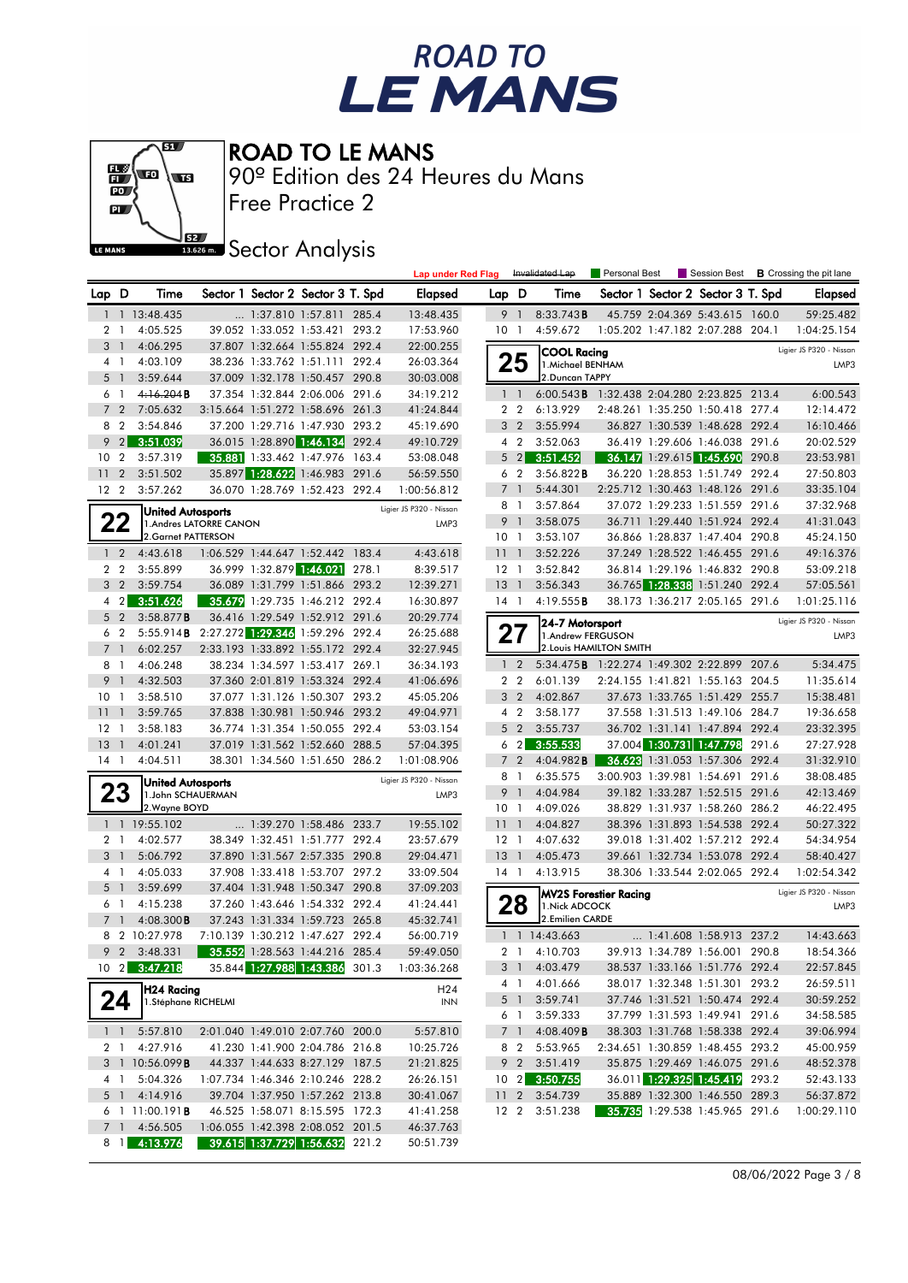



Free Practice 2 90º Edition des 24 Heures du Mans

**J**BEZ Sector Analysis

|                 |                |                              |                         |                                                                    |       | <b>Lap under Red Flag</b> |                 |                                  | Invalidated Lap                                    | Personal Best                    |                                                                    |       | Session Best <b>B</b> Crossing the pit lane |
|-----------------|----------------|------------------------------|-------------------------|--------------------------------------------------------------------|-------|---------------------------|-----------------|----------------------------------|----------------------------------------------------|----------------------------------|--------------------------------------------------------------------|-------|---------------------------------------------|
| Lap D           |                | Time                         |                         | Sector 1 Sector 2 Sector 3 T. Spd                                  |       | <b>Elapsed</b>            | Lap D           |                                  | Time                                               |                                  | Sector 1 Sector 2 Sector 3 T. Spd                                  |       | <b>Elapsed</b>                              |
| 1               |                | 1 13:48.435                  |                         | 1:37.810 1:57.811                                                  | 285.4 | 13:48.435                 |                 | 9 1                              | 8:33.743B                                          |                                  | 45.759 2:04.369 5:43.615 160.0                                     |       | 59:25.482                                   |
| 2 <sub>1</sub>  |                | 4:05.525                     |                         | 39.052 1:33.052 1:53.421 293.2                                     |       | 17:53.960                 | 10              | $\overline{1}$                   | 4:59.672                                           |                                  | 1:05.202 1:47.182 2:07.288 204.1                                   |       | 1:04:25.154                                 |
| $3-1$           |                | 4:06.295                     |                         | 37.807 1:32.664 1:55.824 292.4                                     |       | 22:00.255                 |                 |                                  | <b>COOL Racina</b>                                 |                                  |                                                                    |       | Ligier JS P320 - Nissan                     |
| 4 1             |                | 4:03.109                     |                         | 38.236 1:33.762 1:51.111 292.4                                     |       | 26:03.364                 |                 | 25                               | 1. Michael BENHAM                                  |                                  |                                                                    |       | LMP3                                        |
| 5               | $\overline{1}$ | 3:59.644                     |                         | 37.009 1:32.178 1:50.457 290.8                                     |       | 30:03.008                 |                 |                                  | 2.Duncan TAPPY                                     |                                  |                                                                    |       |                                             |
| 61              |                | 4:16.204B                    |                         | 37.354 1:32.844 2:06.006 291.6                                     |       | 34:19.212                 |                 | $1\quad1$                        | 6:00.543B                                          | 1:32.438 2:04.280 2:23.825 213.4 |                                                                    |       | 6:00.543                                    |
| 7               | $\overline{2}$ | 7:05.632                     |                         | 3:15.664 1:51.272 1:58.696 261.3                                   |       | 41:24.844                 |                 | 2 <sub>2</sub>                   | 6:13.929                                           |                                  | 2:48.261 1:35.250 1:50.418 277.4                                   |       | 12:14.472                                   |
| 8               | $\overline{2}$ | 3:54.846                     |                         | 37.200 1:29.716 1:47.930 293.2                                     |       | 45:19.690                 |                 | 3 <sub>2</sub>                   | 3:55.994                                           |                                  | 36.827 1:30.539 1:48.628 292.4                                     |       | 16:10.466                                   |
| 9               | $\overline{2}$ | 3:51.039                     |                         | 36.015 1:28.890 1:46.134 292.4                                     |       | 49:10.729                 |                 | 4 <sup>2</sup>                   | 3:52.063                                           |                                  | 36.419 1:29.606 1:46.038 291.6                                     |       | 20:02.529                                   |
| 10 <sub>2</sub> |                | 3:57.319                     |                         | 35.881 1:33.462 1:47.976 163.4                                     |       | 53:08.048                 |                 | $5 \quad 2$                      | 3:51.452                                           |                                  | 36.147 1:29.615 1:45.690 290.8                                     |       | 23:53.981                                   |
| 11              | $\overline{2}$ | 3:51.502                     |                         | 35.897 1:28.622 1:46.983 291.6                                     |       | 56:59.550                 |                 | 6 2                              | 3:56.822B                                          |                                  | 36.220 1:28.853 1:51.749 292.4                                     |       | 27:50.803                                   |
| 12 <sub>2</sub> |                | 3:57.262                     |                         | 36.070 1:28.769 1:52.423 292.4                                     |       | 1:00:56.812               | 8               | 7 <sub>1</sub><br>$\overline{1}$ | 5:44.301<br>3:57.864                               |                                  | 2:25.712 1:30.463 1:48.126 291.6<br>37.072 1:29.233 1:51.559 291.6 |       | 33:35.104<br>37:32.968                      |
|                 |                | <b>United Autosports</b>     |                         |                                                                    |       | Ligier JS P320 - Nissan   | 9               | $\overline{1}$                   | 3:58.075                                           |                                  | 36.711 1:29.440 1:51.924 292.4                                     |       | 41:31.043                                   |
| 22              |                | 2.Garnet PATTERSON           | 1. Andres LATORRE CANON |                                                                    |       | LMP3                      | 10 <sub>1</sub> |                                  | 3:53.107                                           |                                  | 36.866 1:28.837 1:47.404 290.8                                     |       | 45:24.150                                   |
| $1\quad 2$      |                | 4:43.618                     |                         | 1:06.529 1:44.647 1:52.442 183.4                                   |       | 4:43.618                  | 1111            |                                  | 3:52.226                                           |                                  | 37.249 1:28.522 1:46.455 291.6                                     |       | 49:16.376                                   |
| 2 <sub>2</sub>  |                | 3:55.899                     |                         | 36.999 1:32.879 1:46.021 278.1                                     |       | 8:39.517                  | $12-1$          |                                  | 3:52.842                                           |                                  | 36.814 1:29.196 1:46.832 290.8                                     |       | 53:09.218                                   |
| 3 <sub>2</sub>  |                | 3:59.754                     |                         | 36.089 1:31.799 1:51.866 293.2                                     |       | 12:39.271                 | 13              | $\overline{1}$                   | 3:56.343                                           |                                  | 36.765 1:28.338 1:51.240 292.4                                     |       | 57:05.561                                   |
| 4 <sup>2</sup>  |                | 3:51.626                     |                         | 35.679 1:29.735 1:46.212 292.4                                     |       | 16:30.897                 | $14-1$          |                                  | 4:19.555B                                          |                                  | 38.173 1:36.217 2:05.165 291.6                                     |       | 1:01:25.116                                 |
| 5 <sub>2</sub>  |                | 3:58.877B                    |                         | 36.416 1:29.549 1:52.912 291.6                                     |       | 20:29.774                 |                 |                                  |                                                    |                                  |                                                                    |       | Ligier JS P320 - Nissan                     |
| 6 <sub>2</sub>  |                | 5:55.914B                    |                         | 2:27.272 1:29.346 1:59.296 292.4                                   |       | 26:25.688                 |                 | 27                               | 24-7 Motorsport<br>1.Andrew FERGUSON               |                                  |                                                                    |       | LMP3                                        |
| 7 <sub>1</sub>  |                | 6:02.257                     |                         | 2:33.193 1:33.892 1:55.172 292.4                                   |       | 32:27.945                 |                 |                                  |                                                    | 2. Louis HAMILTON SMITH          |                                                                    |       |                                             |
| 8 1             |                | 4:06.248                     |                         | 38.234 1:34.597 1:53.417 269.1                                     |       | 36:34.193                 |                 | $1\quad 2$                       | 5:34.475 <b>B</b> 1:22.274 1:49.302 2:22.899 207.6 |                                  |                                                                    |       | 5:34.475                                    |
| 9               | $\overline{1}$ | 4:32.503                     |                         | 37.360 2:01.819 1:53.324 292.4                                     |       | 41:06.696                 |                 | 2 <sub>2</sub>                   | 6:01.139                                           |                                  | 2:24.155 1:41.821 1:55.163 204.5                                   |       | 11:35.614                                   |
| 10 <sub>1</sub> |                | 3:58.510                     |                         | 37.077 1:31.126 1:50.307 293.2                                     |       | 45:05.206                 |                 | 3 <sub>2</sub>                   | 4:02.867                                           |                                  | 37.673 1:33.765 1:51.429 255.7                                     |       | 15:38.481                                   |
| 11              | $\mathbf{1}$   | 3:59.765                     |                         | 37.838 1:30.981 1:50.946 293.2                                     |       | 49:04.971                 |                 | 4 2                              | 3:58.177                                           |                                  | 37.558 1:31.513 1:49.106 284.7                                     |       | 19:36.658                                   |
| $12-1$          |                | 3:58.183                     |                         | 36.774 1:31.354 1:50.055 292.4                                     |       | 53:03.154                 |                 | 5 <sub>2</sub>                   | 3:55.737                                           |                                  | 36.702 1:31.141 1:47.894 292.4                                     |       | 23:32.395                                   |
| $13-1$          |                | 4:01.241                     |                         | 37.019 1:31.562 1:52.660 288.5                                     |       | 57:04.395                 |                 | 6 <sub>2</sub>                   | 3:55.533                                           |                                  | 37.004 1:30.731 1:47.798                                           | 291.6 | 27:27.928                                   |
| $14-1$          |                | 4:04.511                     |                         | 38.301 1:34.560 1:51.650 286.2                                     |       | 1:01:08.906               |                 | 7 <sup>2</sup>                   | 4:04.982B                                          |                                  | 36.623 1:31.053 1:57.306 292.4                                     |       | 31:32.910                                   |
|                 |                | <b>United Autosports</b>     |                         |                                                                    |       | Ligier JS P320 - Nissan   |                 | 8 1                              | 6:35.575                                           |                                  | 3:00.903 1:39.981 1:54.691 291.6                                   |       | 38:08.485                                   |
| 23              |                | 1.John SCHAUERMAN            |                         |                                                                    |       | LMP3                      |                 | 9 1                              | 4:04.984                                           |                                  | 39.182 1:33.287 1:52.515 291.6                                     |       | 42:13.469                                   |
|                 |                | 2. Wayne BOYD                |                         |                                                                    |       | 19:55.102                 | 10 <sub>1</sub> |                                  | 4:09.026                                           |                                  | 38.829 1:31.937 1:58.260 286.2<br>38.396 1:31.893 1:54.538 292.4   |       | 46:22.495<br>50:27.322                      |
| 2 <sub>1</sub>  |                | 1 1 19:55.102<br>4:02.577    |                         | 1:39.270 1:58.486 233.7<br>38.349 1:32.451 1:51.777 292.4          |       | 23:57.679                 | 11<br>$12-1$    | $\overline{1}$                   | 4:04.827<br>4:07.632                               |                                  | 39.018 1:31.402 1:57.212 292.4                                     |       | 54:34.954                                   |
| 3 <sub>1</sub>  |                | 5:06.792                     |                         | 37.890 1:31.567 2:57.335 290.8                                     |       | 29:04.471                 | $13-1$          |                                  | 4:05.473                                           |                                  | 39.661 1:32.734 1:53.078 292.4                                     |       | 58:40.427                                   |
| 4 1             |                | 4:05.033                     |                         | 37.908 1:33.418 1:53.707 297.2                                     |       | 33:09.504                 | $14-1$          |                                  | 4:13.915                                           |                                  | 38.306 1:33.544 2:02.065 292.4                                     |       | 1:02:54.342                                 |
| 5 <sub>1</sub>  |                | 3:59.699                     |                         | 37.404 1:31.948 1:50.347 290.8                                     |       | 37:09.203                 |                 |                                  |                                                    |                                  |                                                                    |       | Ligier JS P320 - Nissan                     |
| 6 1             |                | 4:15.238                     |                         | 37.260 1:43.646 1:54.332 292.4                                     |       | 41:24.441                 |                 | 28                               | 1. Nick ADCOCK                                     | MV2S Forestier Racing            |                                                                    |       | LMP3                                        |
| 7 <sup>1</sup>  |                | $4:08.300$ <b>B</b>          |                         | 37.243 1:31.334 1:59.723 265.8                                     |       | 45:32.741                 |                 |                                  | 2.Emilien CARDE                                    |                                  |                                                                    |       |                                             |
|                 |                | 8 2 10:27.978                |                         | 7:10.139 1:30.212 1:47.627 292.4                                   |       | 56:00.719                 |                 |                                  | $1 \quad 1 \quad 14:43.663$                        |                                  | $\ldots$ 1:41.608 1:58.913 237.2                                   |       | 14:43.663                                   |
|                 |                | 9 2 3:48.331                 |                         | 35.552 1:28.563 1:44.216 285.4                                     |       | 59:49.050                 |                 |                                  | 2 1 4:10.703                                       |                                  | 39.913 1:34.789 1:56.001                                           | 290.8 | 18:54.366                                   |
|                 |                | 10 2 3:47.218                |                         | 35.844 1:27.988 1:43.386 301.3                                     |       | 1:03:36.268               |                 |                                  | 3 1 4:03.479                                       |                                  | 38.537 1:33.166 1:51.776 292.4                                     |       | 22:57.845                                   |
|                 |                | H24 Racing                   |                         |                                                                    |       | H <sub>24</sub>           |                 | 4 1                              | 4:01.666                                           |                                  | 38.017 1:32.348 1:51.301 293.2                                     |       | 26:59.511                                   |
|                 | 24             | 1.Stéphane RICHELMI          |                         |                                                                    |       | <b>INN</b>                |                 | 5 <sup>1</sup>                   | 3:59.741                                           |                                  | 37.746 1:31.521 1:50.474 292.4                                     |       | 30:59.252                                   |
|                 |                |                              |                         |                                                                    |       |                           |                 | 6 1                              | 3:59.333                                           |                                  | 37.799 1:31.593 1:49.941 291.6                                     |       | 34:58.585                                   |
|                 |                | $1 \quad 1 \quad 5:57.810$   |                         | 2:01.040 1:49.010 2:07.760 200.0                                   |       | 5:57.810                  |                 | 7 1                              | $4:08.409$ <b>B</b>                                |                                  | 38.303 1:31.768 1:58.338 292.4                                     |       | 39:06.994                                   |
|                 | 2 1            | 4:27.916                     |                         | 41.230 1:41.900 2:04.786 216.8                                     |       | 10:25.726                 |                 |                                  | 8 2 5:53.965                                       |                                  | 2:34.651 1:30.859 1:48.455 293.2                                   |       | 45:00.959                                   |
|                 |                | 3 1 10:56.099 <b>B</b>       |                         | 44.337 1:44.633 8:27.129 187.5                                     |       | 21:21.825                 |                 | 9 2                              | 3:51.419                                           |                                  | 35.875 1:29.469 1:46.075 291.6                                     |       | 48:52.378                                   |
|                 | 4 1            | 5:04.326                     |                         | 1:07.734 1:46.346 2:10.246 228.2                                   |       | 26:26.151                 |                 |                                  | 10 2 3:50.755                                      |                                  | 36.011 1:29.325 1:45.419 293.2                                     |       | 52:43.133                                   |
|                 |                | 5 1 4:14.916                 |                         | 39.704 1:37.950 1:57.262 213.8                                     |       | 30:41.067                 | 11 <sub>2</sub> |                                  | 3:54.739                                           |                                  | 35.889 1:32.300 1:46.550 289.3                                     |       | 56:37.872                                   |
|                 |                | $6$ 1 11:00.191 <b>B</b>     |                         | 46.525 1:58.071 8:15.595 172.3                                     |       | 41:41.258                 |                 |                                  | 12 2 3:51.238                                      |                                  | 35.735 1:29.538 1:45.965 291.6                                     |       | 1:00:29.110                                 |
|                 |                | 7 1 4:56.505<br>8 1 4:13.976 |                         | 1:06.055 1:42.398 2:08.052 201.5<br>39.615 1:37.729 1:56.632 221.2 |       | 46:37.763<br>50:51.739    |                 |                                  |                                                    |                                  |                                                                    |       |                                             |
|                 |                |                              |                         |                                                                    |       |                           |                 |                                  |                                                    |                                  |                                                                    |       |                                             |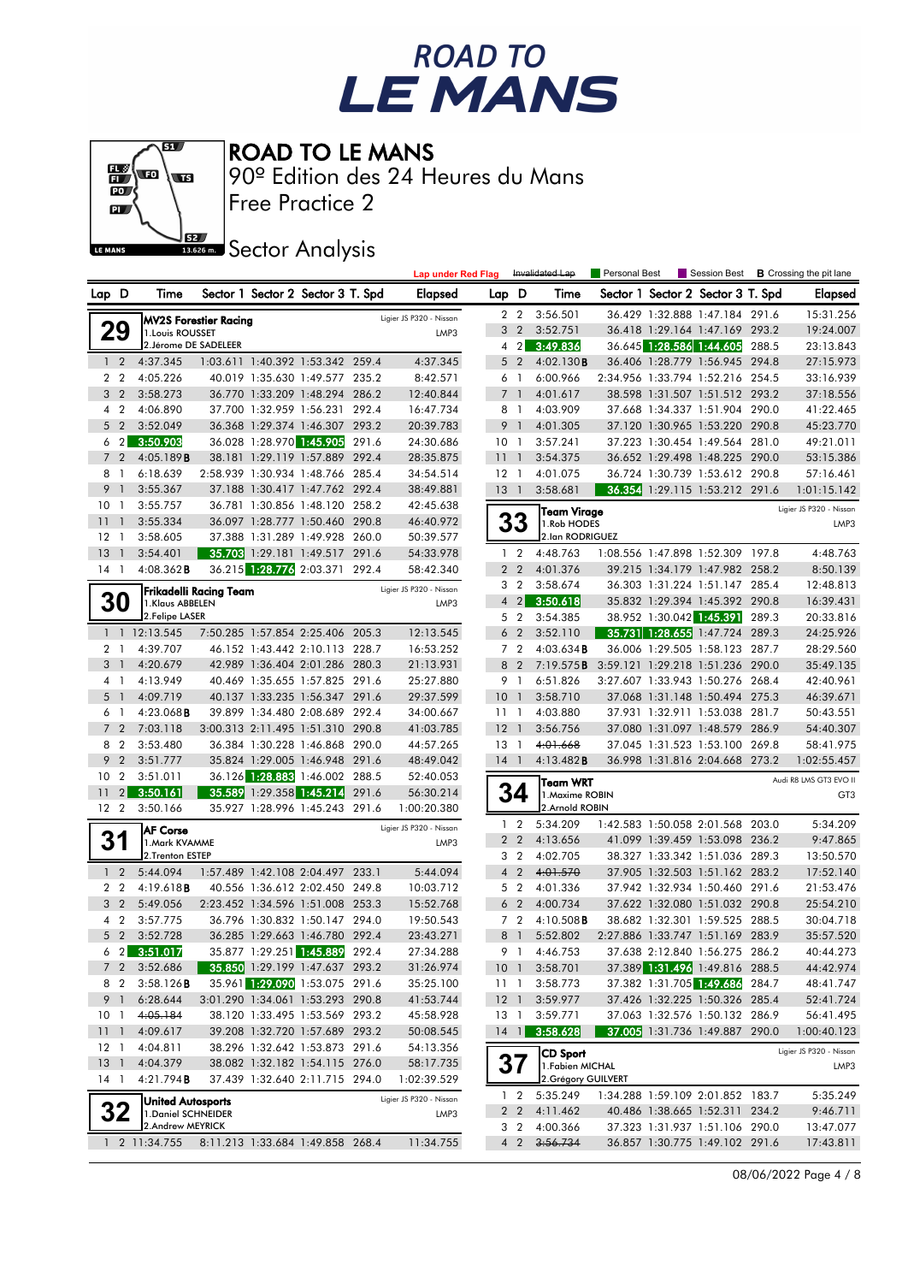



Free Practice 2 90º Edition des 24 Heures du Mans

**J**BEZ Sector Analysis

|    |                 |                                                 |                              |                          |                                                                    | <b>Lap under Red Flag</b> |                         |                                  | Invalidated Lap | Personal Best                           |                                  |                                                                  | Session Best <b>B</b> Crossing the pit lane |                         |
|----|-----------------|-------------------------------------------------|------------------------------|--------------------------|--------------------------------------------------------------------|---------------------------|-------------------------|----------------------------------|-----------------|-----------------------------------------|----------------------------------|------------------------------------------------------------------|---------------------------------------------|-------------------------|
|    | Lap D           | Time                                            |                              |                          | Sector 1 Sector 2 Sector 3 T. Spd                                  |                           | Elapsed                 | Lap D                            |                 | Time                                    |                                  | Sector 1 Sector 2 Sector 3 T. Spd                                |                                             | <b>Elapsed</b>          |
|    |                 |                                                 | <b>MV2S Forestier Racing</b> |                          |                                                                    |                           | Ligier JS P320 - Nissan |                                  | 2 <sub>2</sub>  | 3:56.501                                |                                  | 36.429 1:32.888 1:47.184 291.6                                   |                                             | 15:31.256               |
|    | 29              | 1. Louis ROUSSET                                |                              |                          |                                                                    |                           | LMP3                    |                                  | 3 <sub>2</sub>  | 3:52.751                                |                                  | 36.418 1:29.164 1:47.169 293.2                                   |                                             | 19:24.007               |
|    |                 | 2. Jérome DE SADELEER                           |                              |                          |                                                                    |                           |                         |                                  | 4 <sup>2</sup>  | 3:49.836                                |                                  | 36.645 1:28.586 1:44.605                                         | 288.5                                       | 23:13.843               |
|    | 1 <sub>2</sub>  | 4:37.345                                        |                              |                          | 1:03.611 1:40.392 1:53.342 259.4                                   |                           | 4:37.345                |                                  | 5 <sub>2</sub>  | 4:02.130B                               |                                  | 36.406 1:28.779 1:56.945 294.8                                   |                                             | 27:15.973               |
|    | 2 <sub>2</sub>  | 4:05.226                                        |                              |                          | 40.019 1:35.630 1:49.577 235.2                                     |                           | 8:42.571                | 6 1                              |                 | 6:00.966                                |                                  | 2:34.956 1:33.794 1:52.216 254.5                                 |                                             | 33:16.939               |
|    | 3 <sub>2</sub>  | 3:58.273                                        |                              |                          | 36.770 1:33.209 1:48.294 286.2                                     |                           | 12:40.844               | 7 <sub>1</sub>                   |                 | 4:01.617                                |                                  | 38.598 1:31.507 1:51.512 293.2                                   |                                             | 37:18.556               |
|    | 4 2             | 4:06.890                                        |                              |                          | 37.700 1:32.959 1:56.231 292.4                                     |                           | 16:47.734               | 8 1                              |                 | 4:03.909                                |                                  | 37.668 1:34.337 1:51.904 290.0                                   |                                             | 41:22.465               |
|    | 5 <sub>2</sub>  | 3:52.049                                        |                              |                          | 36.368 1:29.374 1:46.307 293.2                                     |                           | 20:39.783               | 9 <sub>1</sub>                   |                 | 4:01.305                                |                                  | 37.120 1:30.965 1:53.220 290.8                                   |                                             | 45:23.770               |
|    | $6\quad2$       | 3:50.903                                        |                              | 36.028 1:28.970 1:45.905 |                                                                    | 291.6                     | 24:30.686               | 10 <sub>1</sub>                  |                 | 3:57.241                                |                                  | 37.223 1:30.454 1:49.564 281.0                                   |                                             | 49:21.011               |
|    | 7 <sub>2</sub>  | 4:05.189B                                       |                              |                          | 38.181 1:29.119 1:57.889 292.4                                     |                           | 28:35.875               | 11 <sub>1</sub>                  |                 | 3:54.375                                |                                  | 36.652 1:29.498 1:48.225 290.0                                   |                                             | 53:15.386               |
|    | 8 1             | 6:18.639                                        |                              |                          | 2:58.939 1:30.934 1:48.766 285.4                                   |                           | 34:54.514               | $12-1$                           |                 | 4:01.075                                |                                  | 36.724 1:30.739 1:53.612 290.8                                   |                                             | 57:16.461               |
| 9  | -1              | 3:55.367                                        |                              |                          | 37.188 1:30.417 1:47.762 292.4                                     |                           | 38:49.881               | $13-1$                           |                 | 3:58.681                                |                                  | 36.354 1:29.115 1:53.212 291.6                                   |                                             | 1:01:15.142             |
|    | 10 <sub>1</sub> | 3:55.757                                        |                              |                          | 36.781 1:30.856 1:48.120 258.2                                     |                           | 42:45.638               |                                  |                 | <b>Team Virage</b>                      |                                  |                                                                  |                                             | Ligier JS P320 - Nissan |
| 11 | $\overline{1}$  | 3:55.334                                        |                              |                          | 36.097 1:28.777 1:50.460 290.8                                     |                           | 46:40.972               |                                  | 33              | 1.Rob HODES                             |                                  |                                                                  |                                             | LMP3                    |
|    | $12-1$          | 3:58.605                                        |                              |                          | 37.388 1:31.289 1:49.928 260.0                                     |                           | 50:39.577               |                                  |                 | 2.lan RODRIGUEZ                         |                                  |                                                                  |                                             |                         |
| 13 | $\overline{1}$  | 3:54.401                                        |                              |                          | 35.703 1:29.181 1:49.517 291.6                                     |                           | 54:33.978               | $1\quad 2$                       |                 | 4:48.763                                | 1:08.556 1:47.898 1:52.309 197.8 |                                                                  |                                             | 4:48.763                |
|    | 14 1            | $4:08.362$ <b>B</b>                             |                              |                          | 36.215 1:28.776 2:03.371 292.4                                     |                           | 58:42.340               |                                  | 2 <sub>2</sub>  | 4:01.376                                |                                  | 39.215 1:34.179 1:47.982 258.2                                   |                                             | 8:50.139                |
|    |                 |                                                 | Frikadelli Racing Team       |                          |                                                                    |                           | Ligier JS P320 - Nissan | 3 <sub>2</sub>                   |                 | 3:58.674                                |                                  | 36.303 1:31.224 1:51.147 285.4                                   |                                             | 12:48.813               |
|    | <b>30</b>       | 1.Klaus ABBELEN                                 |                              |                          |                                                                    |                           | LMP3                    | 4 <sub>2</sub>                   |                 | 3:50.618                                |                                  | 35.832 1:29.394 1:45.392 290.8                                   |                                             | 16:39.431               |
|    |                 | 2. Felipe LASER                                 |                              |                          |                                                                    |                           |                         | 5 <sub>2</sub>                   |                 | 3:54.385                                |                                  | 38.952 1:30.042 1:45.391                                         | 289.3                                       | 20:33.816               |
|    |                 | 1 1 12:13.545                                   |                              |                          | 7:50.285 1:57.854 2:25.406 205.3                                   |                           | 12:13.545               | 6 <sub>2</sub>                   |                 | 3:52.110                                |                                  | 35.731 1:28.655 1:47.724 289.3                                   |                                             | 24:25.926               |
|    | 2 <sub>1</sub>  | 4:39.707                                        |                              |                          | 46.152 1:43.442 2:10.113 228.7                                     |                           | 16:53.252               | 7 <sub>2</sub>                   |                 | 4:03.634B                               |                                  | 36.006 1:29.505 1:58.123 287.7                                   |                                             | 28:29.560               |
|    | 3 <sup>1</sup>  | 4:20.679                                        |                              |                          | 42.989 1:36.404 2:01.286 280.3                                     |                           | 21:13.931               | 8 2                              |                 | 7:19.575B                               | 3:59.121 1:29.218 1:51.236 290.0 |                                                                  |                                             | 35:49.135               |
|    | 4 1             | 4:13.949                                        |                              |                          | 40.469 1:35.655 1:57.825 291.6                                     |                           | 25:27.880               | 9 1                              |                 | 6:51.826                                | 3:27.607 1:33.943 1:50.276 268.4 |                                                                  |                                             | 42:40.961               |
|    | 5 <sub>1</sub>  | 4:09.719                                        |                              |                          | 40.137 1:33.235 1:56.347 291.6                                     |                           | 29:37.599               | 10 <sub>1</sub>                  |                 | 3:58.710                                |                                  | 37.068 1:31.148 1:50.494 275.3                                   |                                             | 46:39.671               |
|    | 6 1             | $4:23.068$ B                                    |                              |                          | 39.899 1:34.480 2:08.689 292.4                                     |                           | 34:00.667               | 111                              |                 | 4:03.880                                |                                  | 37.931 1:32.911 1:53.038 281.7                                   |                                             | 50:43.551               |
|    | 7 <sup>2</sup>  | 7:03.118                                        |                              |                          | 3:00.313 2:11.495 1:51.310 290.8                                   |                           | 41:03.785               | $12-1$                           |                 | 3:56.756                                |                                  | 37.080 1:31.097 1:48.579 286.9                                   |                                             | 54:40.307               |
|    | 8 2             | 3:53.480                                        |                              |                          | 36.384 1:30.228 1:46.868 290.0                                     |                           | 44:57.265               | $13-1$                           |                 | 4:01.668                                |                                  | 37.045 1:31.523 1:53.100 269.8                                   |                                             | 58:41.975               |
|    | 9 <sub>2</sub>  | 3:51.777                                        |                              |                          | 35.824 1:29.005 1:46.948 291.6                                     |                           | 48:49.042               | $14-1$                           |                 | 4:13.482B                               |                                  | 36.998 1:31.816 2:04.668 273.2                                   |                                             | 1:02:55.457             |
| 10 | $\overline{2}$  | 3:51.011                                        |                              |                          | 36.126 1:28.883 1:46.002 288.5                                     |                           | 52:40.053               |                                  |                 | <b>Team WRT</b>                         |                                  |                                                                  |                                             | Audi R8 LMS GT3 EVO II  |
| 11 |                 | 2 3:50.161                                      |                              |                          | 35.589 1:29.358 1:45.214 291.6                                     |                           | 56:30.214               |                                  | 34              | 1. Maxime ROBIN                         |                                  |                                                                  |                                             | GT <sub>3</sub>         |
|    | 12 <sub>2</sub> | 3:50.166                                        |                              |                          | 35.927 1:28.996 1:45.243 291.6                                     |                           | 1:00:20.380             |                                  |                 | 2.Arnold ROBIN                          |                                  |                                                                  |                                             |                         |
|    |                 | <b>AF Corse</b>                                 |                              |                          |                                                                    |                           | Ligier JS P320 - Nissan | $1\quad 2$                       |                 | 5:34.209                                | 1:42.583 1:50.058 2:01.568 203.0 |                                                                  |                                             | 5:34.209                |
|    | 31              | 1.Mark KVAMME<br>2.Trenton ESTEP                |                              |                          |                                                                    |                           | LMP3                    |                                  | 2 <sub>2</sub>  | 4:13.656                                |                                  | 41.099 1:39.459 1:53.098 236.2                                   |                                             | 9:47.865                |
|    | $1\quad 2$      |                                                 |                              |                          |                                                                    |                           |                         | 3 <sub>2</sub>                   |                 | 4:02.705                                |                                  | 38.327 1:33.342 1:51.036 289.3                                   |                                             | 13:50.570               |
|    | 2 <sub>2</sub>  | 5:44.094<br>4:19.618B                           |                              |                          | 1:57.489 1:42.108 2:04.497 233.1                                   |                           | 5:44.094<br>10:03.712   | 4 <sup>2</sup><br>5 <sub>2</sub> |                 | 4:01.570<br>4:01.336                    |                                  | 37.905 1:32.503 1:51.162 283.2                                   |                                             | 17:52.140               |
|    | 3 <sub>2</sub>  | 5:49.056                                        |                              |                          | 40.556 1:36.612 2:02.450 249.8<br>2:23.452 1:34.596 1:51.008 253.3 |                           | 15:52.768               | 6 <sub>2</sub>                   |                 | 4:00.734                                |                                  | 37.942 1:32.934 1:50.460 291.6<br>37.622 1:32.080 1:51.032 290.8 |                                             | 21:53.476<br>25:54.210  |
|    | 4 2             | 3:57.775                                        |                              |                          | 36.796 1:30.832 1:50.147 294.0                                     |                           | 19:50.543               | 7 <sub>2</sub>                   |                 | $4:10.508$ <b>B</b>                     |                                  | 38.682 1:32.301 1:59.525 288.5                                   |                                             | 30:04.718               |
|    | 5 2             | 3:52.728                                        |                              |                          | 36.285 1:29.663 1:46.780 292.4                                     |                           | 23:43.271               | 8 1                              |                 | 5:52.802                                | 2:27.886 1:33.747 1:51.169 283.9 |                                                                  |                                             | 35:57.520               |
|    |                 | 623:51.017                                      |                              |                          | 35.877 1:29.251 1:45.889 292.4                                     |                           | 27:34.288               |                                  |                 | 9 1 4:46.753                            |                                  | 37.638 2:12.840 1:56.275 286.2                                   |                                             | 40:44.273               |
|    | 7 <sub>2</sub>  | 3:52.686                                        |                              |                          | 35.850 1:29.199 1:47.637 293.2                                     |                           | 31:26.974               | 10 <sub>1</sub>                  |                 | 3:58.701                                |                                  | 37.389 1:31.496 1:49.816 288.5                                   |                                             | 44:42.974               |
|    | 8 2             | 3:58.126B                                       |                              |                          | 35.961 1:29.090 1:53.075 291.6                                     |                           | 35:25.100               | $11-1$                           |                 | 3:58.773                                |                                  | 37.382 1:31.705 1:49.686 284.7                                   |                                             | 48:41.747               |
|    | 9 1             | 6:28.644                                        |                              |                          | 3:01.290 1:34.061 1:53.293 290.8                                   |                           | 41:53.744               | $12-1$                           |                 | 3:59.977                                |                                  | 37.426 1:32.225 1:50.326 285.4                                   |                                             | 52:41.724               |
|    | 10 <sub>1</sub> | 4:05.184                                        |                              |                          | 38.120 1:33.495 1:53.569 293.2                                     |                           | 45:58.928               | $13-1$                           |                 | 3:59.771                                |                                  | 37.063 1:32.576 1:50.132 286.9                                   |                                             | 56:41.495               |
|    | $11 \quad 1$    | 4:09.617                                        |                              |                          | 39.208 1:32.720 1:57.689 293.2                                     |                           | 50:08.545               | $14$ $1$                         |                 | 3:58.628                                |                                  | 37.005 1:31.736 1:49.887 290.0                                   |                                             | 1:00:40.123             |
|    | $12-1$          | 4:04.811                                        |                              |                          | 38.296 1:32.642 1:53.873 291.6                                     |                           | 54:13.356               |                                  |                 |                                         |                                  |                                                                  |                                             |                         |
|    | $13-1$          | 4:04.379                                        |                              |                          | 38.082 1:32.182 1:54.115 276.0                                     |                           | 58:17.735               | 37                               |                 | <b>CD Sport</b>                         |                                  |                                                                  |                                             | Ligier JS P320 - Nissan |
|    | $14-1$          | 4:21.794B                                       |                              |                          | 37.439 1:32.640 2:11.715 294.0                                     |                           | 1:02:39.529             |                                  |                 | 1. Fabien MICHAL<br>2. Grégory GUILVERT |                                  |                                                                  |                                             | LMP3                    |
|    |                 |                                                 |                              |                          |                                                                    |                           | Ligier JS P320 - Nissan |                                  | $1\quad 2$      | 5:35.249                                |                                  | 1:34.288 1:59.109 2:01.852 183.7                                 |                                             | 5:35.249                |
|    | 32              | <b>United Autosports</b><br>1. Daniel SCHNEIDER |                              |                          |                                                                    |                           | LMP3                    |                                  | 2 <sub>2</sub>  | 4:11.462                                |                                  | 40.486 1:38.665 1:52.311 234.2                                   |                                             | 9:46.711                |
|    |                 | 2.Andrew MEYRICK                                |                              |                          |                                                                    |                           |                         |                                  | 3 <sub>2</sub>  | 4:00.366                                |                                  | 37.323 1:31.937 1:51.106 290.0                                   |                                             | 13:47.077               |
|    |                 | 1 2 11:34.755                                   |                              |                          | 8:11.213 1:33.684 1:49.858 268.4                                   |                           | 11:34.755               |                                  | 4 <sup>2</sup>  | 3:56.734                                |                                  | 36.857 1:30.775 1:49.102 291.6                                   |                                             | 17:43.811               |

08/06/2022 Page 4 / 8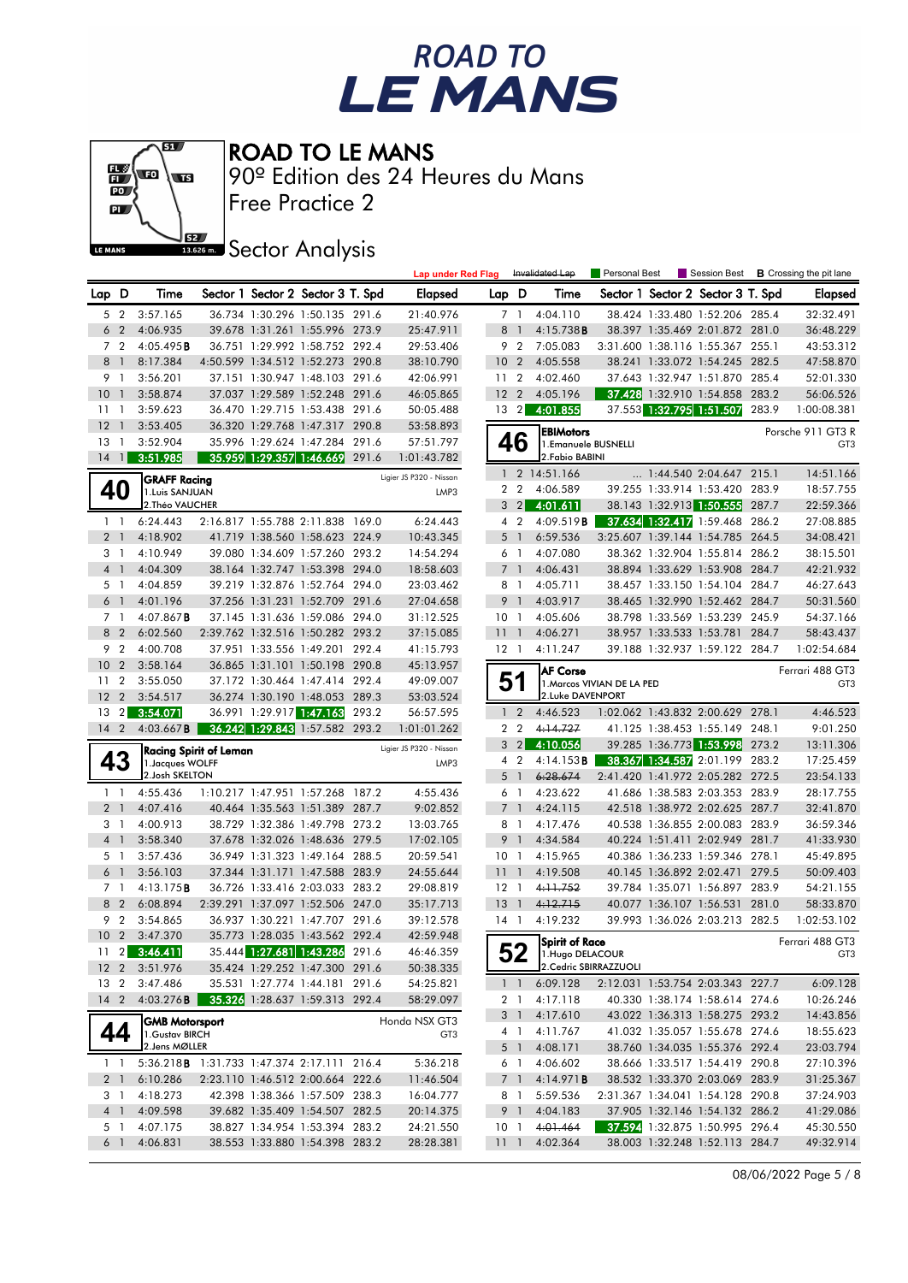



Free Practice 2 90º Edition des 24 Heures du Mans

**J**BEZ Sector Analysis

|                 |                |                                                       |                        |                                   | <b>Lap under Red Flag</b> |                 |                | Invalidated Lap                   | Personal Best              |                                   |       | Session Best <b>B</b> Crossing the pit lane |
|-----------------|----------------|-------------------------------------------------------|------------------------|-----------------------------------|---------------------------|-----------------|----------------|-----------------------------------|----------------------------|-----------------------------------|-------|---------------------------------------------|
| Lap D           |                | Time                                                  |                        | Sector 1 Sector 2 Sector 3 T. Spd | Elapsed                   | Lap D           |                | Time                              |                            | Sector 1 Sector 2 Sector 3 T. Spd |       | Elapsed                                     |
|                 | 5 2            | 3:57.165                                              |                        | 36.734 1:30.296 1:50.135 291.6    | 21:40.976                 |                 | 7 1            | 4:04.110                          |                            | 38.424 1:33.480 1:52.206 285.4    |       | 32:32.491                                   |
| 6               | $\overline{2}$ | 4:06.935                                              |                        | 39.678 1:31.261 1:55.996 273.9    | 25:47.911                 | 8               | $\overline{1}$ | 4:15.738B                         |                            | 38.397 1:35.469 2:01.872 281.0    |       | 36:48.229                                   |
|                 | 7 <sub>2</sub> | 4:05.495B                                             |                        | 36.751 1:29.992 1:58.752 292.4    | 29:53.406                 |                 | 9 2            | 7:05.083                          |                            | 3:31.600 1:38.116 1:55.367 255.1  |       | 43:53.312                                   |
|                 | 8 1            | 8:17.384                                              |                        | 4:50.599 1:34.512 1:52.273 290.8  | 38:10.790                 | 10 <sub>2</sub> |                | 4:05.558                          |                            | 38.241 1:33.072 1:54.245 282.5    |       | 47:58.870                                   |
| 9 1             |                | 3:56.201                                              |                        | 37.151 1:30.947 1:48.103 291.6    | 42:06.991                 | 11              | $\overline{2}$ | 4:02.460                          |                            | 37.643 1:32.947 1:51.870 285.4    |       | 52:01.330                                   |
| 10              | $\overline{1}$ | 3:58.874                                              |                        | 37.037 1:29.589 1:52.248 291.6    | 46:05.865                 | $12 \quad 2$    |                | 4:05.196                          |                            | 37.428 1:32.910 1:54.858 283.2    |       | 56:06.526                                   |
| $11-1$          |                | 3:59.623                                              |                        | 36.470 1:29.715 1:53.438 291.6    | 50:05.488                 |                 | $13 \quad 2$   | 4:01.855                          |                            | 37.553 1:32.795 1:51.507 283.9    |       | 1:00:08.381                                 |
| $12-1$          |                | 3:53.405                                              |                        | 36.320 1:29.768 1:47.317 290.8    | 53:58.893                 |                 |                |                                   |                            |                                   |       | Porsche 911 GT3 R                           |
| $13-1$          |                | 3:52.904                                              |                        | 35.996 1:29.624 1:47.284 291.6    | 57:51.797                 |                 | 46             | EBIMotors<br>1. Emanuele BUSNELLI |                            |                                   |       | GT <sub>3</sub>                             |
| $14$ 1          |                | 3:51.985                                              |                        | 35.959 1:29.357 1:46.669 291.6    | 1:01:43.782               |                 |                | 2. Fabio BABINI                   |                            |                                   |       |                                             |
|                 |                | <b>GRAFF Racing</b>                                   |                        |                                   | Ligier JS P320 - Nissan   |                 |                | 1 2 14:51.166                     |                            | 1:44.540 2:04.647 215.1           |       | 14:51.166                                   |
| 40              |                | 1. Luis SANJUAN                                       |                        |                                   | LMP3                      |                 | 2 <sub>2</sub> | 4:06.589                          |                            | 39.255 1:33.914 1:53.420 283.9    |       | 18:57.755                                   |
|                 |                | 2. Théo VAUCHER                                       |                        |                                   |                           |                 |                | $3 \quad 2 \quad 4:01.611$        |                            | 38.143 1:32.913 1:50.555 287.7    |       | 22:59.366                                   |
|                 | $1\quad$       | 6:24.443                                              |                        | 2:16.817 1:55.788 2:11.838 169.0  | 6:24.443                  |                 | 4 <sup>2</sup> | 4:09.519B                         |                            | 37.634 1:32.417 1:59.468 286.2    |       | 27:08.885                                   |
|                 | 2 <sub>1</sub> | 4:18.902                                              |                        | 41.719 1:38.560 1:58.623 224.9    | 10:43.345                 |                 | 5 1            | 6:59.536                          |                            | 3:25.607 1:39.144 1:54.785 264.5  |       | 34:08.421                                   |
|                 | 31             | 4:10.949                                              |                        | 39.080 1:34.609 1:57.260 293.2    | 14:54.294                 |                 | 6 1            | 4:07.080                          |                            | 38.362 1:32.904 1:55.814 286.2    |       | 38:15.501                                   |
|                 | 4 1            | 4:04.309                                              |                        | 38.164 1:32.747 1:53.398 294.0    | 18:58.603                 |                 | 7 <sup>1</sup> | 4:06.431                          |                            | 38.894 1:33.629 1:53.908 284.7    |       | 42:21.932                                   |
|                 | 5 <sub>1</sub> | 4:04.859                                              |                        | 39.219 1:32.876 1:52.764 294.0    | 23:03.462                 |                 | 8 1            | 4:05.711                          |                            | 38.457 1:33.150 1:54.104 284.7    |       | 46:27.643                                   |
|                 | 6 1            | 4:01.196                                              |                        | 37.256 1:31.231 1:52.709 291.6    | 27:04.658                 |                 | 9 1            | 4:03.917                          |                            | 38.465 1:32.990 1:52.462 284.7    |       | 50:31.560                                   |
|                 | 7 1            | $4:07.867$ B                                          |                        | 37.145 1:31.636 1:59.086 294.0    | 31:12.525                 | 10 <sub>1</sub> |                | 4:05.606                          |                            | 38.798 1:33.569 1:53.239 245.9    |       | 54:37.166                                   |
|                 | 8 2            | 6:02.560                                              |                        | 2:39.762 1:32.516 1:50.282 293.2  | 37:15.085                 | $11-1$          |                | 4:06.271                          |                            | 38.957 1:33.533 1:53.781 284.7    |       | 58:43.437                                   |
|                 | 9 <sub>2</sub> | 4:00.708                                              |                        | 37.951 1:33.556 1:49.201 292.4    | 41:15.793                 | $12-1$          |                | 4:11.247                          |                            | 39.188 1:32.937 1:59.122 284.7    |       | 1:02:54.684                                 |
| 10 <sub>2</sub> |                | 3:58.164                                              |                        | 36.865 1:31.101 1:50.198 290.8    | 45:13.957                 |                 |                | <b>AF Corse</b>                   |                            |                                   |       | Ferrari 488 GT3                             |
| 11 <sub>2</sub> |                | 3:55.050                                              |                        | 37.172 1:30.464 1:47.414 292.4    | 49:09.007                 | 51              |                |                                   | 1. Marcos VIVIAN DE LA PED |                                   |       | GT <sub>3</sub>                             |
| 12 <sub>2</sub> |                | 3:54.517                                              |                        | 36.274 1:30.190 1:48.053 289.3    | 53:03.524                 |                 |                | 2.Luke DAVENPORT                  |                            |                                   |       |                                             |
|                 |                | 13 2 3:54.071                                         |                        | 36.991 1:29.917 1:47.163 293.2    | 56:57.595                 |                 | $1\quad 2$     | 4:46.523                          |                            | 1:02.062 1:43.832 2:00.629 278.1  |       | 4:46.523                                    |
| $14^{2}$        |                | $4:03.667$ <b>B</b>                                   |                        | 36.242 1:29.843 1:57.582 293.2    | 1:01:01.262               |                 | 2 <sub>2</sub> | 4:14.727                          |                            | 41.125 1:38.453 1:55.149 248.1    |       | 9:01.250                                    |
|                 |                |                                                       | Racing Spirit of Leman |                                   | Ligier JS P320 - Nissan   |                 | $3 \quad 2$    | 4:10.056                          |                            | 39.285 1:36.773 1:53.998 273.2    |       | 13:11.306                                   |
|                 | 43             | 1. Jacques WOLFF                                      |                        |                                   | LMP3                      |                 | 4 <sup>2</sup> | 4:14.153B                         |                            | 38.367 1:34.587 2:01.199          | 283.2 | 17:25.459                                   |
|                 |                | 2. Josh SKELTON                                       |                        |                                   |                           |                 | 5 1            | 6:28.674                          |                            | 2:41.420 1:41.972 2:05.282 272.5  |       | 23:54.133                                   |
|                 | $1\quad$       | 4:55.436                                              |                        | 1:10.217 1:47.951 1:57.268 187.2  | 4:55.436                  |                 | 6 1            | 4:23.622                          |                            | 41.686 1:38.583 2:03.353 283.9    |       | 28:17.755                                   |
|                 | 2 <sub>1</sub> | 4:07.416                                              |                        | 40.464 1:35.563 1:51.389 287.7    | 9:02.852                  |                 | 7 <sup>1</sup> | 4:24.115                          |                            | 42.518 1:38.972 2:02.625 287.7    |       | 32:41.870                                   |
|                 | 3 1            | 4:00.913                                              |                        | 38.729 1:32.386 1:49.798 273.2    | 13:03.765                 |                 | 8 1            | 4:17.476                          |                            | 40.538 1:36.855 2:00.083 283.9    |       | 36:59.346                                   |
|                 | 4 1            | 3:58.340                                              |                        | 37.678 1:32.026 1:48.636 279.5    | 17:02.105                 |                 | 9 <sub>1</sub> | 4:34.584                          |                            | 40.224 1:51.411 2:02.949 281.7    |       | 41:33.930                                   |
|                 | 5 1            | 3:57.436                                              |                        | 36.949 1:31.323 1:49.164 288.5    | 20:59.541                 | 10 <sub>1</sub> |                | 4:15.965                          |                            | 40.386 1:36.233 1:59.346 278.1    |       | 45:49.895                                   |
|                 | 6 <sup>1</sup> | 3:56.103                                              |                        | 37.344 1:31.171 1:47.588 283.9    | 24:55.644                 | 11 <sub>1</sub> |                | 4:19.508                          |                            | 40.145 1:36.892 2:02.471 279.5    |       | 50:09.403                                   |
|                 | 7 1            | 4:13.175B                                             |                        | 36.726 1:33.416 2:03.033 283.2    | 29:08.819                 | $12-1$          |                | 4:11.752                          |                            | 39.784 1:35.071 1:56.897 283.9    |       | 54:21.155                                   |
|                 | 8 2            | 6:08.894                                              |                        | 2:39.291 1:37.097 1:52.506 247.0  | 35:17.713                 | 13              | $\overline{1}$ | 4:12.715                          |                            | 40.077 1:36.107 1:56.531 281.0    |       | 58:33.870                                   |
|                 | 9 <sub>2</sub> | 3:54.865                                              |                        | 36.937 1:30.221 1:47.707 291.6    | 39:12.578                 | 14 1            |                | 4:19.232                          |                            | 39.993 1:36.026 2:03.213 282.5    |       | 1:02:53.102                                 |
|                 |                | 10 2 3:47.370                                         |                        | 35.773 1:28.035 1:43.562 292.4    | 42:59.948                 |                 |                | Spirit of Race                    |                            |                                   |       | Ferrari 488 GT3                             |
|                 |                | $11 \quad 2 \quad 3:46.411$                           |                        | 35.444 1:27.681 1:43.286 291.6    | 46:46.359                 |                 |                | $52$ 1. Hugo DELACOUR             |                            |                                   |       | GT3                                         |
|                 |                | 12 2 3:51.976                                         |                        | 35.424 1:29.252 1:47.300 291.6    | 50:38.335                 |                 |                | 2. Cedric SBIRRAZZUOLI            |                            |                                   |       |                                             |
|                 |                | 13 2 3:47.486                                         |                        | 35.531 1:27.774 1:44.181 291.6    | 54:25.821                 |                 |                | $1 \quad 1 \quad 6:09.128$        |                            | 2:12.031 1:53.754 2:03.343 227.7  |       | 6:09.128                                    |
|                 |                | 14 2 4:03.276 <b>8 35.326</b> 1:28.637 1:59.313 292.4 |                        |                                   | 58:29.097                 |                 |                | 2 1 4:17.118                      |                            | 40.330 1:38.174 1:58.614 274.6    |       | 10:26.246                                   |
|                 |                | <b>GMB Motorsport</b>                                 |                        |                                   | Honda NSX GT3             |                 | 3 1            | 4:17.610                          |                            | 43.022 1:36.313 1:58.275 293.2    |       | 14:43.856                                   |
| 44              |                | 1. Gustav BIRCH                                       |                        |                                   | GT3                       |                 |                | 4 1 4:11.767                      |                            | 41.032 1:35.057 1:55.678 274.6    |       | 18:55.623                                   |
|                 |                | 2. Jens MØLLER                                        |                        |                                   |                           |                 | 5 1            | 4:08.171                          |                            | 38.760 1:34.035 1:55.376 292.4    |       | 23:03.794                                   |
|                 | $1\quad1$      | 5:36.218B 1:31.733 1:47.374 2:17.111 216.4            |                        |                                   | 5:36.218                  |                 | 6 1            | 4:06.602                          |                            | 38.666 1:33.517 1:54.419 290.8    |       | 27:10.396                                   |
|                 |                | 2 1 6:10.286                                          |                        | 2:23.110 1:46.512 2:00.664 222.6  | 11:46.504                 |                 | 7 <sup>1</sup> | 4:14.971B                         |                            | 38.532 1:33.370 2:03.069 283.9    |       | 31:25.367                                   |
|                 |                | 3 1 4:18.273<br>4 1 4:09.598                          |                        | 42.398 1:38.366 1:57.509 238.3    | 16:04.777                 |                 | 8 1            | 5:59.536                          |                            | 2:31.367 1:34.041 1:54.128 290.8  |       | 37:24.903                                   |
|                 |                |                                                       |                        | 39.682 1:35.409 1:54.507 282.5    | 20:14.375                 |                 | 9 1            | 4:04.183                          |                            | 37.905 1:32.146 1:54.132 286.2    |       | 41:29.086                                   |
|                 |                | 5 1 4:07.175                                          |                        | 38.827 1:34.954 1:53.394 283.2    | 24:21.550                 | 10 <sub>1</sub> |                | 4:01.464                          |                            | 37.594 1:32.875 1:50.995 296.4    |       | 45:30.550                                   |
|                 | 6 1            | 4:06.831                                              |                        | 38.553 1:33.880 1:54.398 283.2    | 28:28.381                 | 111             |                | 4:02.364                          |                            | 38.003 1:32.248 1:52.113 284.7    |       | 49:32.914                                   |

08/06/2022 Page 5 / 8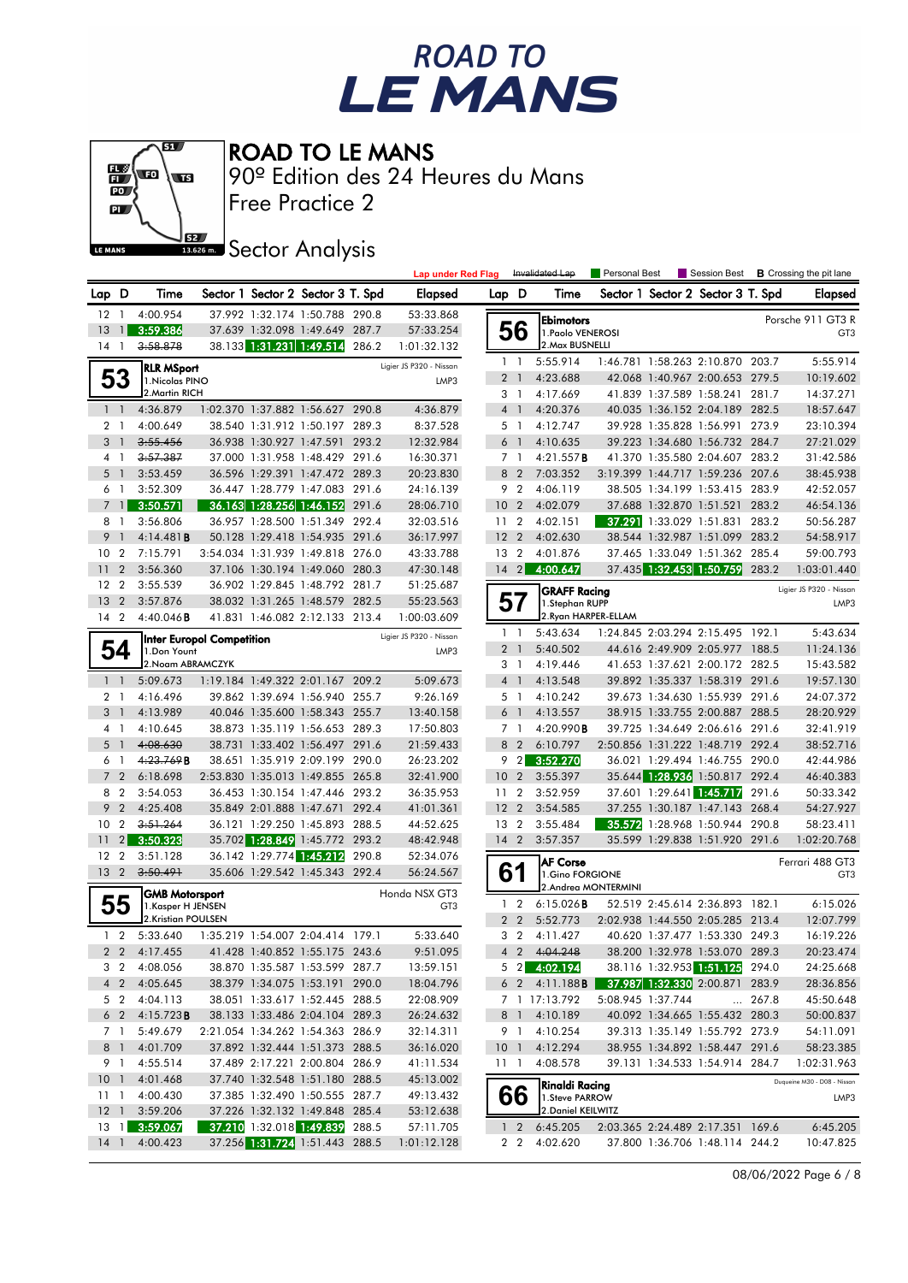



Free Practice 2 90º Edition des 24 Heures du Mans

**Sector Analysis** 

|                     |                                  |                                            |                                  |                                                                    | <b>Lap under Red Flag</b>        |                 |                               | Invalidated Lap                    | Personal Best |                   | Session Best                                                       |       | <b>B</b> Crossing the pit lane     |
|---------------------|----------------------------------|--------------------------------------------|----------------------------------|--------------------------------------------------------------------|----------------------------------|-----------------|-------------------------------|------------------------------------|---------------|-------------------|--------------------------------------------------------------------|-------|------------------------------------|
|                     | Lap D                            | Time                                       |                                  | Sector 1 Sector 2 Sector 3 T. Spd                                  | Elapsed                          | Lap D           |                               | Time                               |               |                   | Sector 1 Sector 2 Sector 3 T. Spd                                  |       | <b>Elapsed</b>                     |
|                     | 12 1                             | 4:00.954                                   |                                  | 37.992 1:32.174 1:50.788 290.8                                     | 53:33.868                        |                 |                               | <b>Ebimotors</b>                   |               |                   |                                                                    |       | Porsche 911 GT3 R                  |
| 13                  | $\mathbf{1}$                     | 3:59.386                                   |                                  | 37.639 1:32.098 1:49.649 287.7                                     | 57:33.254                        |                 | 56                            | 1. Paolo VENEROSI                  |               |                   |                                                                    |       | GT <sub>3</sub>                    |
|                     | $14-1$                           | 3:58.878                                   |                                  | 38.133 1:31.231 1:49.514 286.2                                     | 1:01:32.132                      |                 |                               | 2. Max BUSNELLI                    |               |                   |                                                                    |       |                                    |
|                     |                                  | <b>RLR MSport</b>                          |                                  |                                                                    | Ligier JS P320 - Nissan          |                 | $1\quad$                      | 5:55.914                           |               |                   | 1:46.781 1:58.263 2:10.870 203.7                                   |       | 5:55.914                           |
|                     | 53                               | 1. Nicolas PINO                            |                                  |                                                                    | LMP3                             |                 | 2 <sub>1</sub>                | 4:23.688                           |               |                   | 42.068 1:40.967 2:00.653 279.5                                     |       | 10:19.602                          |
|                     |                                  | 2. Martin RICH                             |                                  |                                                                    |                                  |                 | 3 <sub>1</sub>                | 4:17.669                           |               |                   | 41.839 1:37.589 1:58.241                                           | 281.7 | 14:37.271                          |
|                     | 1 <sub>1</sub>                   | 4:36.879                                   |                                  | 1:02.370 1:37.882 1:56.627 290.8                                   | 4:36.879                         |                 | 4 1                           | 4:20.376                           |               |                   | 40.035 1:36.152 2:04.189 282.5                                     |       | 18:57.647                          |
|                     | 2 <sub>1</sub>                   | 4:00.649                                   |                                  | 38.540 1:31.912 1:50.197 289.3                                     | 8:37.528                         |                 | 5 <sub>1</sub>                | 4:12.747                           |               |                   | 39.928 1:35.828 1:56.991 273.9                                     |       | 23:10.394                          |
| 3                   | $\overline{1}$                   | 3:55.456                                   |                                  | 36.938 1:30.927 1:47.591 293.2                                     | 12:32.984                        |                 | 6 <sup>1</sup>                | 4:10.635                           |               |                   | 39.223 1:34.680 1:56.732 284.7                                     |       | 27:21.029                          |
| 4                   | $\overline{1}$                   | 3:57.387                                   |                                  | 37.000 1:31.958 1:48.429 291.6                                     | 16:30.371                        |                 | 7 <sub>1</sub>                | 4:21.557B                          |               |                   | 41.370 1:35.580 2:04.607 283.2                                     |       | 31:42.586                          |
| 5                   | $\overline{1}$                   | 3:53.459                                   |                                  | 36.596 1:29.391 1:47.472 289.3                                     | 20:23.830                        |                 | 8 2                           | 7:03.352                           |               |                   | 3:19.399 1:44.717 1:59.236 207.6                                   |       | 38:45.938                          |
| 6                   | $\overline{1}$                   | 3:52.309                                   |                                  | 36.447 1:28.779 1:47.083 291.6                                     | 24:16.139                        |                 | 9 <sub>2</sub>                | 4:06.119                           |               |                   | 38.505 1:34.199 1:53.415 283.9                                     |       | 42:52.057                          |
| $\overline{7}$      | $\overline{1}$                   | 3:50.571                                   |                                  | 36.163 1:28.256 1:46.152 291.6                                     | 28:06.710                        | 10              | $\overline{2}$                | 4:02.079                           |               |                   | 37.688 1:32.870 1:51.521 283.2                                     |       | 46:54.136                          |
|                     | 8 1                              | 3:56.806                                   |                                  | 36.957 1:28.500 1:51.349 292.4                                     | 32:03.516                        | 11              | $\overline{2}$                | 4:02.151                           |               |                   | 37.291 1:33.029 1:51.831 283.2                                     |       | 50:56.287                          |
| 9                   | $\overline{1}$                   | 4:14.481B                                  |                                  | 50.128 1:29.418 1:54.935 291.6                                     | 36:17.997                        | 12              | $\overline{2}$                | 4:02.630                           |               |                   | 38.544 1:32.987 1:51.099 283.2                                     |       | 54:58.917                          |
|                     | 10 <sub>2</sub>                  | 7:15.791                                   |                                  | 3:54.034 1:31.939 1:49.818 276.0                                   | 43:33.788                        | 13 2            |                               | 4:01.876                           |               |                   | 37.465 1:33.049 1:51.362 285.4                                     |       | 59:00.793                          |
| 11                  | $\overline{2}$                   | 3:56.360                                   |                                  | 37.106 1:30.194 1:49.060 280.3                                     | 47:30.148                        |                 | $14 \quad 2$                  | 4:00.647                           |               |                   | 37.435 1:32.453 1:50.759                                           | 283.2 | 1:03:01.440                        |
|                     | 12 <sub>2</sub>                  | 3:55.539                                   |                                  | 36.902 1:29.845 1:48.792 281.7                                     | 51:25.687                        |                 |                               | <b>GRAFF Racing</b>                |               |                   |                                                                    |       | Ligier JS P320 - Nissan            |
| 13                  | $\overline{2}$                   | 3:57.876                                   |                                  | 38.032 1:31.265 1:48.579 282.5                                     | 55:23.563                        |                 | 57                            | 1.Stephan RUPP                     |               |                   |                                                                    |       | LMP3                               |
|                     | 14 <sup>2</sup>                  | $4:40.046$ B                               |                                  | 41.831 1:46.082 2:12.133 213.4                                     | 1:00:03.609                      |                 |                               | 2.Rvan HARPER-ELLAM                |               |                   |                                                                    |       |                                    |
|                     |                                  |                                            | <b>Inter Europol Competition</b> |                                                                    | Ligier JS P320 - Nissan          |                 | $1\quad$                      | 5:43.634                           |               |                   | 1:24.845 2:03.294 2:15.495 192.1                                   |       | 5:43.634                           |
|                     | 54                               | 1.Don Yount                                |                                  |                                                                    | LMP3                             |                 | 2 <sub>1</sub>                | 5:40.502                           |               |                   | 44.616 2:49.909 2:05.977 188.5                                     |       | 11:24.136                          |
|                     |                                  | 2. Noam ABRAMCZYK                          |                                  |                                                                    |                                  |                 | 3 1                           | 4:19.446                           |               |                   | 41.653 1:37.621 2:00.172 282.5                                     |       | 15:43.582                          |
|                     | $1\quad$                         | 5:09.673                                   |                                  | 1:19.184 1:49.322 2:01.167 209.2                                   | 5:09.673                         |                 | 4 <sup>1</sup>                | 4:13.548                           |               |                   | 39.892 1:35.337 1:58.319 291.6                                     |       | 19:57.130                          |
|                     | 2 <sub>1</sub>                   | 4:16.496                                   |                                  | 39.862 1:39.694 1:56.940 255.7                                     | 9:26.169                         |                 | 5 1                           | 4:10.242                           |               |                   | 39.673 1:34.630 1:55.939 291.6                                     |       | 24:07.372                          |
| 3                   | $\overline{1}$                   | 4:13.989                                   |                                  | 40.046 1:35.600 1:58.343 255.7                                     | 13:40.158                        | 6               | $\overline{1}$                | 4:13.557                           |               |                   | 38.915 1:33.755 2:00.887 288.5                                     |       | 28:20.929                          |
|                     | 4 1                              | 4:10.645                                   |                                  | 38.873 1:35.119 1:56.653 289.3                                     | 17:50.803                        |                 | 7 <sub>1</sub>                | 4:20.990B                          |               |                   | 39.725 1:34.649 2:06.616 291.6                                     |       | 32:41.919                          |
| 5                   | $\overline{1}$<br>$\overline{1}$ | 4:08.630<br>4:23.769B                      |                                  | 38.731 1:33.402 1:56.497 291.6                                     | 21:59.433<br>26:23.202           | 8               | $\overline{2}$<br>$9 \quad 2$ | 6:10.797                           |               |                   | 2:50.856 1:31.222 1:48.719 292.4<br>36.021 1:29.494 1:46.755 290.0 |       | 38:52.716<br>42:44.986             |
| 6<br>$\overline{7}$ | $\overline{2}$                   | 6:18.698                                   |                                  | 38.651 1:35.919 2:09.199 290.0<br>2:53.830 1:35.013 1:49.855 265.8 | 32:41.900                        | 10 <sub>2</sub> |                               | 3:52.270<br>3:55.397               |               |                   | 35.644 1:28.936 1:50.817 292.4                                     |       | 46:40.383                          |
|                     | 8 2                              | 3:54.053                                   |                                  | 36.453 1:30.154 1:47.446 293.2                                     | 36:35.953                        | 11 <sub>2</sub> |                               | 3:52.959                           |               |                   | 37.601 1:29.641 1:45.717                                           | 291.6 | 50:33.342                          |
| 9                   | 2                                | 4:25.408                                   |                                  | 35.849 2:01.888 1:47.671 292.4                                     | 41:01.361                        | 12 <sub>2</sub> |                               | 3:54.585                           |               |                   | 37.255 1:30.187 1:47.143 268.4                                     |       | 54:27.927                          |
| 10                  | $\overline{2}$                   | 3:51.264                                   |                                  | 36.121 1:29.250 1:45.893 288.5                                     | 44:52.625                        | 13              | $\overline{2}$                | 3:55.484                           |               |                   | 35.572 1:28.968 1:50.944                                           | 290.8 | 58:23.411                          |
| 11                  | $\overline{2}$                   | 3:50.323                                   |                                  | 35.702 1:28.849 1:45.772 293.2                                     | 48:42.948                        | $14 \quad 2$    |                               | 3:57.357                           |               |                   | 35.599 1:29.838 1:51.920 291.6                                     |       | 1:02:20.768                        |
|                     | 12 <sub>2</sub>                  | 3:51.128                                   |                                  | 36.142 1:29.774 1:45.212 290.8                                     | 52:34.076                        |                 |                               |                                    |               |                   |                                                                    |       |                                    |
|                     | 13 2                             | 3:50.491                                   |                                  | 35.606 1:29.542 1:45.343 292.4                                     | 56:24.567                        |                 | 61                            | <b>AF Corse</b><br>1.Gino FORGIONE |               |                   |                                                                    |       | Ferrari 488 GT3<br>GT <sub>3</sub> |
|                     |                                  |                                            |                                  |                                                                    |                                  |                 |                               | 2.Andrea MONTERMINI                |               |                   |                                                                    |       |                                    |
|                     | 55                               | <b>GMB Motorsport</b><br>1.Kasper H JENSEN |                                  |                                                                    | Honda NSX GT3<br>GT <sub>3</sub> |                 | $1\quad 2$                    | $6:15.026$ <b>B</b>                |               |                   | 52.519 2:45.614 2:36.893 182.1                                     |       | 6:15.026                           |
|                     |                                  | 2.Kristian POULSEN                         |                                  |                                                                    |                                  |                 | 2 <sub>2</sub>                | 5:52.773                           |               |                   | 2:02.938 1:44.550 2:05.285 213.4                                   |       | 12:07.799                          |
|                     | $1\quad 2$                       | 5:33.640                                   |                                  | 1:35.219 1:54.007 2:04.414 179.1                                   | 5:33.640                         |                 | 3 <sub>2</sub>                | 4:11.427                           |               |                   | 40.620 1:37.477 1:53.330 249.3                                     |       | 16:19.226                          |
|                     | 2 <sub>2</sub>                   | 4:17.455 41.428 1:40.852 1:55.175 243.6    |                                  |                                                                    | 9:51.095                         |                 |                               | 4 2 4:04.248                       |               |                   | 38.200 1:32.978 1:53.070 289.3                                     |       | 20:23.474                          |
|                     |                                  | 3 2 4:08.056                               |                                  | 38.870 1:35.587 1:53.599 287.7                                     | 13:59.151                        |                 |                               | 5 2 4:02.194                       |               |                   | 38.116 1:32.953 1:51.125 294.0                                     |       | 24:25.668                          |
|                     |                                  | 4 2 4:05.645                               |                                  | 38.379 1:34.075 1:53.191 290.0                                     | 18:04.796                        |                 |                               | $6$ 2 4:11.188 <b>B</b>            |               |                   | 37.987 1:32.330 2:00.871 283.9                                     |       | 28:36.856                          |
|                     |                                  | 5 2 4:04.113                               |                                  | 38.051 1:33.617 1:52.445 288.5                                     | 22:08.909                        |                 |                               | 7 1 17:13.792                      |               | 5:08.945 1:37.744 |                                                                    | 267.8 | 45:50.648                          |
|                     | $6\quad2$                        | 4:15.723B                                  |                                  | 38.133 1:33.486 2:04.104 289.3                                     | 26:24.632                        |                 |                               | 8 1 4:10.189                       |               |                   | 40.092 1:34.665 1:55.432 280.3                                     |       | 50:00.837                          |
|                     | 7 1                              | 5:49.679                                   |                                  | 2:21.054 1:34.262 1:54.363 286.9                                   | 32:14.311                        |                 |                               | 9 1 4:10.254                       |               |                   | 39.313 1:35.149 1:55.792 273.9                                     |       | 54:11.091                          |
|                     | 8 1                              | 4:01.709                                   |                                  | 37.892 1:32.444 1:51.373 288.5                                     | 36:16.020                        |                 | 10 <sub>1</sub>               | 4:12.294                           |               |                   | 38.955 1:34.892 1:58.447 291.6                                     |       | 58:23.385                          |
|                     | 9 1                              | 4:55.514                                   |                                  | 37.489 2:17.221 2:00.804 286.9                                     | 41:11.534                        |                 | 11 1                          | 4:08.578                           |               |                   | 39.131 1:34.533 1:54.914 284.7                                     |       | 1:02:31.963                        |
|                     | 10 <sub>1</sub>                  | 4:01.468                                   |                                  | 37.740 1:32.548 1:51.180 288.5                                     | 45:13.002                        |                 |                               | <b>Rinaldi Racing</b>              |               |                   |                                                                    |       | Duqueine M30 - D08 - Nissan        |
|                     | 11 1                             | 4:00.430                                   |                                  | 37.385 1:32.490 1:50.555 287.7                                     | 49:13.432                        |                 | 66                            | 1. Steve PARROW                    |               |                   |                                                                    |       | LMP3                               |
|                     |                                  | 12 1 3:59.206                              |                                  | 37.226 1:32.132 1:49.848 285.4                                     | 53:12.638                        |                 |                               | 2. Daniel KEILWITZ                 |               |                   |                                                                    |       |                                    |
|                     |                                  | 13 1 3:59.067                              |                                  | 37.210 1:32.018 1:49.839 288.5                                     | 57:11.705                        |                 | $1\quad2$                     | 6:45.205                           |               |                   | 2:03.365 2:24.489 2:17.351 169.6                                   |       | 6:45.205                           |
|                     |                                  | 14 1 4:00.423                              |                                  | 37.256 1:31.724 1:51.443 288.5                                     | 1:01:12.128                      |                 |                               | 2 2 4:02.620                       |               |                   | 37.800 1:36.706 1:48.114 244.2                                     |       | 10:47.825                          |
|                     |                                  |                                            |                                  |                                                                    |                                  |                 |                               |                                    |               |                   |                                                                    |       |                                    |

08/06/2022 Page 6 / 8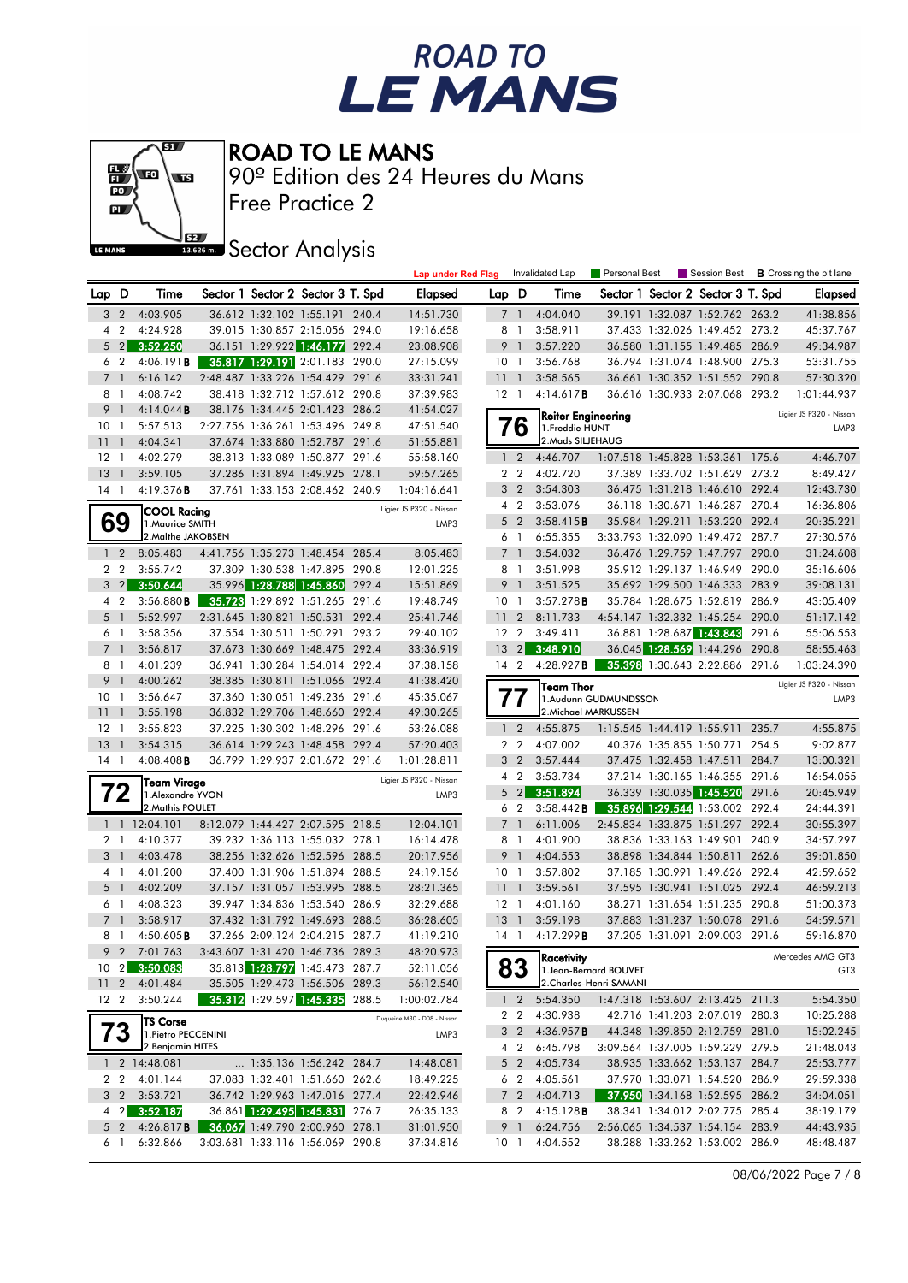



Free Practice 2 90º Edition des 24 Heures du Mans

**J**BEZ Sector Analysis

|                 |                |                                        |  |                                                                  |       | <b>Lap under Red Flag</b>   |                 |                                  | Invalidated Lap           | Personal Best           | Session Best                                                     |       | <b>B</b> Crossing the pit lane |
|-----------------|----------------|----------------------------------------|--|------------------------------------------------------------------|-------|-----------------------------|-----------------|----------------------------------|---------------------------|-------------------------|------------------------------------------------------------------|-------|--------------------------------|
| Lap D           |                | Time                                   |  | Sector 1 Sector 2 Sector 3 T. Spd                                |       | Elapsed                     | Lap D           |                                  | Time                      |                         | Sector 1 Sector 2 Sector 3 T. Spd                                |       | Elapsed                        |
| 3               | $\overline{2}$ | 4:03.905                               |  | 36.612 1:32.102 1:55.191 240.4                                   |       | 14:51.730                   |                 | 7 1                              | 4:04.040                  |                         | 39.191 1:32.087 1:52.762 263.2                                   |       | 41:38.856                      |
| 4               | $\overline{2}$ | 4:24.928                               |  | 39.015 1:30.857 2:15.056 294.0                                   |       | 19:16.658                   | 8               | $\overline{1}$                   | 3:58.911                  |                         | 37.433 1:32.026 1:49.452 273.2                                   |       | 45:37.767                      |
|                 | 5 <sub>2</sub> | 3:52.250                               |  | 36.151 1:29.922 1:46.177 292.4                                   |       | 23:08.908                   | 9               |                                  | 3:57.220                  |                         | 36.580 1:31.155 1:49.485 286.9                                   |       | 49:34.987                      |
| 6               | $\overline{2}$ | 4:06.191B                              |  | 35.817 1:29.191 2:01.183 290.0                                   |       | 27:15.099                   | 10 <sub>1</sub> |                                  | 3:56.768                  |                         | 36.794 1:31.074 1:48.900 275.3                                   |       | 53:31.755                      |
| $\overline{7}$  | $\overline{1}$ | 6:16.142                               |  | 2:48.487 1:33.226 1:54.429 291.6                                 |       | 33:31.241                   | 111             |                                  | 3:58.565                  |                         | 36.661 1:30.352 1:51.552 290.8                                   |       | 57:30.320                      |
| 8               | - 1            | 4:08.742                               |  | 38.418 1:32.712 1:57.612 290.8                                   |       | 37:39.983                   | $12-1$          |                                  | 4:14.617B                 |                         | 36.616 1:30.933 2:07.068 293.2                                   |       | 1:01:44.937                    |
| 9               | $\overline{1}$ | 4:14.044B                              |  | 38.176 1:34.445 2:01.423 286.2                                   |       | 41:54.027                   |                 |                                  | <b>Reiter Engineering</b> |                         |                                                                  |       | Ligier JS P320 - Nissan        |
| 10 <sub>1</sub> |                | 5:57.513                               |  | 2:27.756 1:36.261 1:53.496 249.8                                 |       | 47:51.540                   |                 | 76                               | 1. Freddie HUNT           |                         |                                                                  |       | LMP3                           |
| 11              | $\overline{1}$ | 4:04.341                               |  | 37.674 1:33.880 1:52.787 291.6                                   |       | 51:55.881                   |                 |                                  | 2. Mads SILJEHAUG         |                         |                                                                  |       |                                |
| $12-1$          |                | 4:02.279                               |  | 38.313 1:33.089 1:50.877 291.6                                   |       | 55:58.160                   |                 | $1\quad 2$                       | 4:46.707                  |                         | 1:07.518 1:45.828 1:53.361 175.6                                 |       | 4:46.707                       |
| 13              | $\overline{1}$ | 3:59.105                               |  | 37.286 1:31.894 1:49.925 278.1                                   |       | 59:57.265                   |                 | 2 <sub>2</sub>                   | 4:02.720                  |                         | 37.389 1:33.702 1:51.629 273.2                                   |       | 8:49.427                       |
| $14-1$          |                | 4:19.376B                              |  | 37.761 1:33.153 2:08.462 240.9                                   |       | 1:04:16.641                 |                 | 3 <sub>2</sub><br>4 <sup>2</sup> | 3:54.303<br>3:53.076      |                         | 36.475 1:31.218 1:46.610 292.4<br>36.118 1:30.671 1:46.287 270.4 |       | 12:43.730                      |
|                 |                | <b>COOL Racing</b>                     |  |                                                                  |       | Ligier JS P320 - Nissan     |                 | 5 <sub>2</sub>                   | 3:58.415B                 |                         | 35.984 1:29.211 1:53.220 292.4                                   |       | 16:36.806<br>20:35.221         |
|                 | 69             | 1. Maurice SMITH<br>2. Malthe JAKOBSEN |  |                                                                  |       | LMP3                        |                 | 61                               | 6:55.355                  |                         | 3:33.793 1:32.090 1:49.472 287.7                                 |       | 27:30.576                      |
|                 | $1\quad 2$     | 8:05.483                               |  | 4:41.756 1:35.273 1:48.454 285.4                                 |       | 8:05.483                    |                 | 7 1                              | 3:54.032                  |                         | 36.476 1:29.759 1:47.797 290.0                                   |       | 31:24.608                      |
|                 | 2 <sub>2</sub> | 3:55.742                               |  | 37.309 1:30.538 1:47.895 290.8                                   |       | 12:01.225                   |                 | 8 1                              | 3:51.998                  |                         | 35.912 1:29.137 1:46.949 290.0                                   |       | 35:16.606                      |
|                 | $3 \quad 2$    | 3:50.644                               |  | 35.996 1:28.788 1:45.860                                         | 292.4 | 15:51.869                   | 9               | - 1                              | 3:51.525                  |                         | 35.692 1:29.500 1:46.333 283.9                                   |       | 39:08.131                      |
|                 | 4 <sup>2</sup> | 3:56.880B                              |  | 35.723 1:29.892 1:51.265 291.6                                   |       | 19:48.749                   | 10 <sub>1</sub> |                                  | 3:57.278B                 |                         | 35.784 1:28.675 1:52.819 286.9                                   |       | 43:05.409                      |
|                 | 5 <sub>1</sub> | 5:52.997                               |  | 2:31.645 1:30.821 1:50.531                                       | 292.4 | 25:41.746                   | 11              | $\overline{2}$                   | 8:11.733                  |                         | 4:54.147 1:32.332 1:45.254 290.0                                 |       | 51:17.142                      |
|                 | 6 <sub>1</sub> | 3:58.356                               |  | 37.554 1:30.511 1:50.291                                         | 293.2 | 29:40.102                   | 12 <sub>2</sub> |                                  | 3:49.411                  |                         | 36.881 1:28.687 1:43.843                                         | 291.6 | 55:06.553                      |
| $\overline{7}$  | -1             | 3:56.817                               |  | 37.673 1:30.669 1:48.475 292.4                                   |       | 33:36.919                   | $13 \quad 2$    |                                  | 3:48.910                  |                         | 36.045 1:28.569 1:44.296 290.8                                   |       | 58:55.463                      |
|                 | 81             | 4:01.239                               |  | 36.941 1:30.284 1:54.014 292.4                                   |       | 37:38.158                   | $14 \quad 2$    |                                  | 4:28.927 <b>B</b>         |                         | 35.398 1:30.643 2:22.886 291.6                                   |       | 1:03:24.390                    |
| 9               | $\overline{1}$ | 4:00.262                               |  | 38.385 1:30.811 1:51.066 292.4                                   |       | 41:38.420                   |                 |                                  | Team Thor                 |                         |                                                                  |       | Ligier JS P320 - Nissan        |
| 10              | $\overline{1}$ | 3:56.647                               |  | 37.360 1:30.051 1:49.236 291.6                                   |       | 45:35.067                   |                 | 77                               |                           | 1.Audunn GUDMUNDSSON    |                                                                  |       | LMP3                           |
| 11              | -1             | 3:55.198                               |  | 36.832 1:29.706 1:48.660 292.4                                   |       | 49:30.265                   |                 |                                  | 2. Michael MARKUSSEN      |                         |                                                                  |       |                                |
| $12-1$          |                | 3:55.823                               |  | 37.225 1:30.302 1:48.296 291.6                                   |       | 53:26.088                   |                 | 1 <sup>2</sup>                   | 4:55.875                  |                         | 1:15.545 1:44.419 1:55.911 235.7                                 |       | 4:55.875                       |
| 13              | $\overline{1}$ | 3:54.315                               |  | 36.614 1:29.243 1:48.458 292.4                                   |       | 57:20.403                   |                 | 2 <sub>2</sub>                   | 4:07.002                  |                         | 40.376 1:35.855 1:50.771 254.5                                   |       | 9:02.877                       |
| $14-1$          |                | $4:08.408$ <b>B</b>                    |  | 36.799 1:29.937 2:01.672 291.6                                   |       | 1:01:28.811                 |                 | 3 <sub>2</sub>                   | 3:57.444                  |                         | 37.475 1:32.458 1:47.511                                         | 284.7 | 13:00.321                      |
|                 |                | Team Virage                            |  |                                                                  |       | Ligier JS P320 - Nissan     |                 | 4 2                              | 3:53.734                  |                         | 37.214 1:30.165 1:46.355 291.6                                   |       | 16:54.055                      |
|                 | 72             | 1. Alexandre YVON                      |  |                                                                  |       | LMP3                        |                 | $5 \quad 2$                      | 3:51.894                  |                         | 36.339 1:30.035 1:45.520                                         | 291.6 | 20:45.949                      |
|                 |                | 2. Mathis POULET                       |  |                                                                  |       |                             |                 | 6 2                              | 3:58.442 B                |                         | 35.896 1:29.544 1:53.002 292.4                                   |       | 24:44.391                      |
|                 |                | 1 1 12:04.101                          |  | 8:12.079 1:44.427 2:07.595 218.5                                 |       | 12:04.101                   |                 | 7 1                              | 6:11.006                  |                         | 2:45.834 1:33.875 1:51.297 292.4                                 |       | 30:55.397                      |
|                 | 2 <sub>1</sub> | 4:10.377                               |  | 39.232 1:36.113 1:55.032 278.1                                   |       | 16:14.478                   |                 | 8 1                              | 4:01.900                  |                         | 38.836 1:33.163 1:49.901 240.9                                   |       | 34:57.297                      |
| 3               | $\overline{1}$ | 4:03.478                               |  | 38.256 1:32.626 1:52.596 288.5                                   |       | 20:17.956                   |                 | 9 1                              | 4:04.553                  |                         | 38.898 1:34.844 1:50.811                                         | 262.6 | 39:01.850                      |
|                 | 41             | 4:01.200                               |  | 37.400 1:31.906 1:51.894 288.5                                   |       | 24:19.156                   | 10 <sub>1</sub> |                                  | 3:57.802                  |                         | 37.185 1:30.991 1:49.626 292.4                                   |       | 42:59.652                      |
| 5               | - 1<br>61      | 4:02.209<br>4:08.323                   |  | 37.157 1:31.057 1:53.995 288.5<br>39.947 1:34.836 1:53.540 286.9 |       | 28:21.365<br>32:29.688      | 11<br>$12-1$    | - 1                              | 3:59.561<br>4:01.160      |                         | 37.595 1:30.941 1:51.025 292.4<br>38.271 1:31.654 1:51.235 290.8 |       | 46:59.213<br>51:00.373         |
|                 | 7 <sup>1</sup> | 3:58.917                               |  | 37.432 1:31.792 1:49.693 288.5                                   |       | 36:28.605                   | 13              | $\overline{1}$                   | 3:59.198                  |                         | 37.883 1:31.237 1:50.078 291.6                                   |       | 54:59.571                      |
|                 | 8 1            | $4:50.605$ <b>B</b>                    |  | 37.266 2:09.124 2:04.215 287.7                                   |       | 41:19.210                   | $14-1$          |                                  | 4:17.299B                 |                         | 37.205 1:31.091 2:09.003 291.6                                   |       | 59:16.870                      |
|                 |                | 9 2 7:01.763                           |  | 3:43.607 1:31.420 1:46.736 289.3                                 |       | 48:20.973                   |                 |                                  |                           |                         |                                                                  |       |                                |
|                 |                | 10 2 3:50.083                          |  | 35.813 1:28.797 1:45.473 287.7                                   |       | 52:11.056                   |                 | 83                               | Racetivity                | 1. Jean-Bernard BOUVET  |                                                                  |       | Mercedes AMG GT3<br>GT3        |
|                 |                | 11 2 4:01.484                          |  | 35.505 1:29.473 1:56.506 289.3                                   |       | 56:12.540                   |                 |                                  |                           | 2. Charles-Henri SAMANI |                                                                  |       |                                |
|                 |                | 12 2 3:50.244                          |  | 35.312 1:29.597 1:45.335 288.5                                   |       | 1:00:02.784                 |                 | $1\quad2$                        | 5:54.350                  |                         | 1:47.318 1:53.607 2:13.425 211.3                                 |       | 5:54.350                       |
|                 |                | <b>TS Corse</b>                        |  |                                                                  |       | Duqueine M30 - D08 - Nissan |                 | 2 2                              | 4:30.938                  |                         | 42.716 1:41.203 2:07.019 280.3                                   |       | 10:25.288                      |
|                 | 73             | 1. Pietro PECCENINI                    |  |                                                                  |       | LMP3                        |                 | 3 2                              | 4:36.957 <b>B</b>         |                         | 44.348 1:39.850 2:12.759 281.0                                   |       | 15:02.245                      |
|                 |                | 2. Benjamin HITES                      |  |                                                                  |       |                             |                 | 4 2                              | 6:45.798                  |                         | 3:09.564 1:37.005 1:59.229 279.5                                 |       | 21:48.043                      |
|                 |                | 1 2 14:48.081                          |  | 1:35.136 1:56.242 284.7                                          |       | 14:48.081                   |                 | $5\quad2$                        | 4:05.734                  |                         | 38.935 1:33.662 1:53.137 284.7                                   |       | 25:53.777                      |
|                 | 22             | 4:01.144                               |  | 37.083 1:32.401 1:51.660 262.6                                   |       | 18:49.225                   |                 | 6 2                              | 4:05.561                  |                         | 37.970 1:33.071 1:54.520 286.9                                   |       | 29:59.338                      |
|                 | 3 <sub>2</sub> | 3:53.721                               |  | 36.742 1:29.963 1:47.016 277.4                                   |       | 22:42.946                   |                 | 7 <sub>2</sub>                   | 4:04.713                  |                         | 37.950 1:34.168 1:52.595 286.2                                   |       | 34:04.051                      |
|                 | 4 2            | 3:52.187                               |  | 36.861 1:29.495 1:45.831 276.7                                   |       | 26:35.133                   |                 | 82                               | $4:15.128$ <b>B</b>       |                         | 38.341 1:34.012 2:02.775 285.4                                   |       | 38:19.179                      |
|                 | 5 <sub>2</sub> | 4:26.817 <b>B</b>                      |  | 36.067 1:49.790 2:00.960 278.1                                   |       | 31:01.950                   |                 | 9 1                              | 6:24.756                  |                         | 2:56.065 1:34.537 1:54.154 283.9                                 |       | 44:43.935                      |
|                 | 6 1            | 6:32.866                               |  | 3:03.681 1:33.116 1:56.069 290.8                                 |       | 37:34.816                   | 10 <sub>1</sub> |                                  | 4:04.552                  |                         | 38.288 1:33.262 1:53.002 286.9                                   |       | 48:48.487                      |

08/06/2022 Page 7 / 8